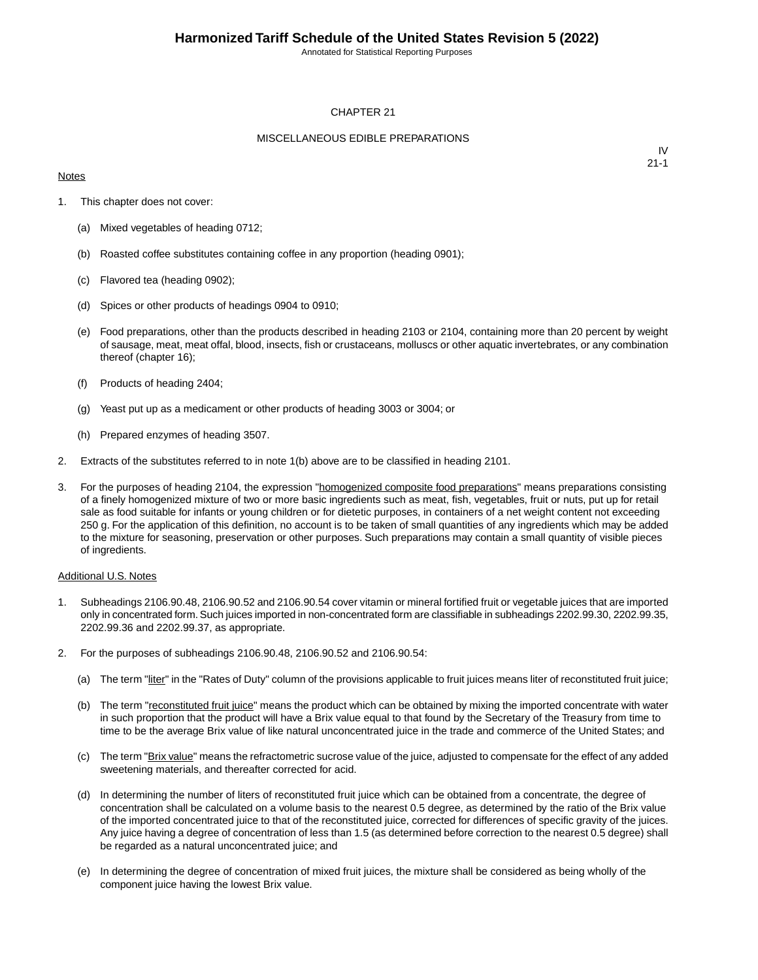Annotated for Statistical Reporting Purposes

#### CHAPTER 21

#### MISCELLANEOUS EDIBLE PREPARATIONS

#### **Notes**

IV 21-1

- 1. This chapter does not cover:
	- (a) Mixed vegetables of heading 0712;
	- (b) Roasted coffee substitutes containing coffee in any proportion (heading 0901);
	- (c) Flavored tea (heading 0902);
	- (d) Spices or other products of headings 0904 to 0910;
	- (e) Food preparations, other than the products described in heading 2103 or 2104, containing more than 20 percent by weight of sausage, meat, meat offal, blood, insects, fish or crustaceans, molluscs or other aquatic invertebrates, or any combination thereof (chapter 16);
	- (f) Products of heading 2404;
	- (g) Yeast put up as a medicament or other products of heading 3003 or 3004; or
	- (h) Prepared enzymes of heading 3507.
- 2. Extracts of the substitutes referred to in note 1(b) above are to be classified in heading 2101.
- 3. For the purposes of heading 2104, the expression "homogenized composite food preparations" means preparations consisting of a finely homogenized mixture of two or more basic ingredients such as meat, fish, vegetables, fruit or nuts, put up for retail sale as food suitable for infants or young children or for dietetic purposes, in containers of a net weight content not exceeding 250 g. For the application of this definition, no account is to be taken of small quantities of any ingredients which may be added to the mixture for seasoning, preservation or other purposes. Such preparations may contain a small quantity of visible pieces of ingredients.

#### Additional U.S. Notes

- 1. Subheadings 2106.90.48, 2106.90.52 and 2106.90.54 cover vitamin or mineral fortified fruit or vegetable juices that are imported only in concentrated form. Such juices imported in non-concentrated form are classifiable in subheadings 2202.99.30, 2202.99.35, 2202.99.36 and 2202.99.37, as appropriate.
- 2. For the purposes of subheadings 2106.90.48, 2106.90.52 and 2106.90.54:
	- (a) The term "liter" in the "Rates of Duty" column of the provisions applicable to fruit juices means liter of reconstituted fruit juice;
	- (b) The term "reconstituted fruit juice" means the product which can be obtained by mixing the imported concentrate with water in such proportion that the product will have a Brix value equal to that found by the Secretary of the Treasury from time to time to be the average Brix value of like natural unconcentrated juice in the trade and commerce of the United States; and
	- (c) The term "Brix value" means the refractometric sucrose value of the juice, adjusted to compensate for the effect of any added sweetening materials, and thereafter corrected for acid.
	- (d) In determining the number of liters of reconstituted fruit juice which can be obtained from a concentrate, the degree of concentration shall be calculated on a volume basis to the nearest 0.5 degree, as determined by the ratio of the Brix value of the imported concentrated juice to that of the reconstituted juice, corrected for differences of specific gravity of the juices. Any juice having a degree of concentration of less than 1.5 (as determined before correction to the nearest 0.5 degree) shall be regarded as a natural unconcentrated juice; and
	- (e) In determining the degree of concentration of mixed fruit juices, the mixture shall be considered as being wholly of the component juice having the lowest Brix value.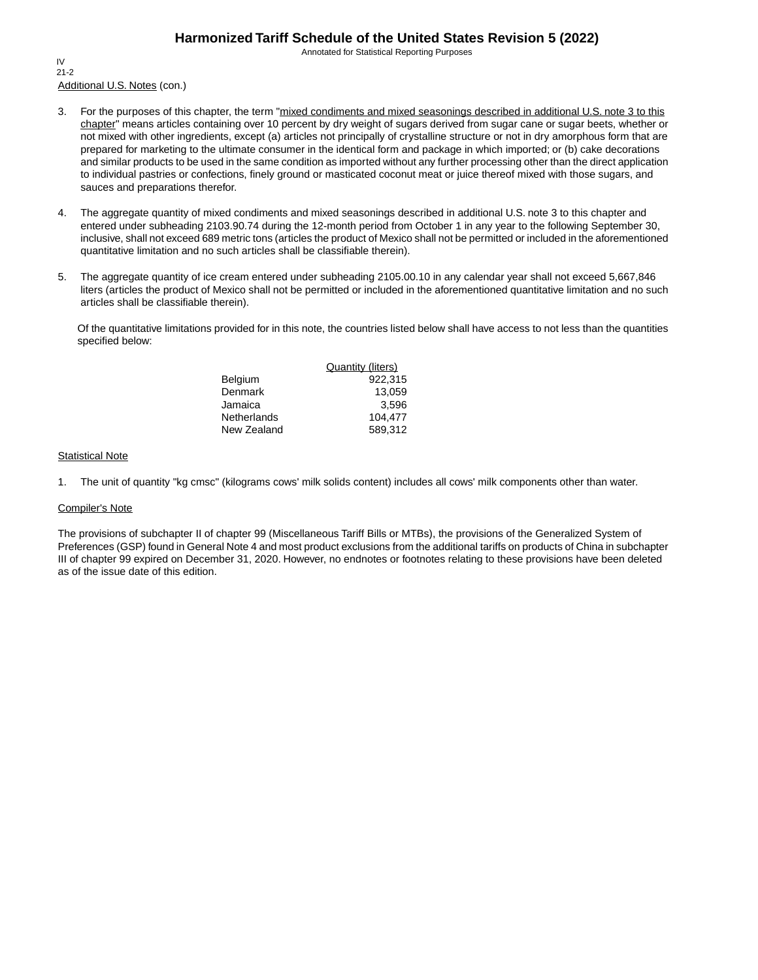Annotated for Statistical Reporting Purposes

Additional U.S. Notes (con.) IV 21-2

- 3. For the purposes of this chapter, the term "mixed condiments and mixed seasonings described in additional U.S. note 3 to this chapter" means articles containing over 10 percent by dry weight of sugars derived from sugar cane or sugar beets, whether or not mixed with other ingredients, except (a) articles not principally of crystalline structure or not in dry amorphous form that are prepared for marketing to the ultimate consumer in the identical form and package in which imported; or (b) cake decorations and similar products to be used in the same condition as imported without any further processing other than the direct application to individual pastries or confections, finely ground or masticated coconut meat or juice thereof mixed with those sugars, and sauces and preparations therefor.
- 4. The aggregate quantity of mixed condiments and mixed seasonings described in additional U.S. note 3 to this chapter and entered under subheading 2103.90.74 during the 12-month period from October 1 in any year to the following September 30, inclusive, shall not exceed 689 metric tons (articles the product of Mexico shall not be permitted or included in the aforementioned quantitative limitation and no such articles shall be classifiable therein).
- 5. The aggregate quantity of ice cream entered under subheading 2105.00.10 in any calendar year shall not exceed 5,667,846 liters (articles the product of Mexico shall not be permitted or included in the aforementioned quantitative limitation and no such articles shall be classifiable therein).

Of the quantitative limitations provided for in this note, the countries listed below shall have access to not less than the quantities specified below:

|             | <b>Quantity (liters)</b> |
|-------------|--------------------------|
| Belgium     | 922.315                  |
| Denmark     | 13.059                   |
| Jamaica     | 3.596                    |
| Netherlands | 104.477                  |
| New Zealand | 589.312                  |

#### **Statistical Note**

1. The unit of quantity "kg cmsc" (kilograms cows' milk solids content) includes all cows' milk components other than water.

#### Compiler's Note

The provisions of subchapter II of chapter 99 (Miscellaneous Tariff Bills or MTBs), the provisions of the Generalized System of Preferences (GSP) found in General Note 4 and most product exclusions from the additional tariffs on products of China in subchapter III of chapter 99 expired on December 31, 2020. However, no endnotes or footnotes relating to these provisions have been deleted as of the issue date of this edition.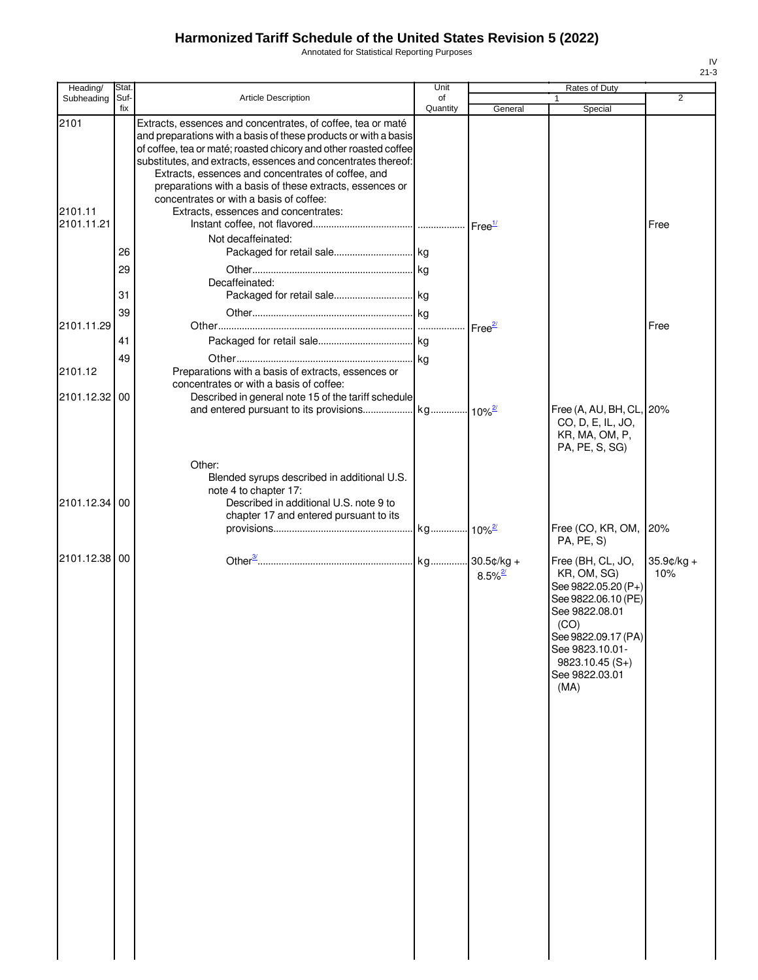Annotated for Statistical Reporting Purposes

| Heading/              | Stat.       |                                                                                                                                                                                                                                                                                                                                                                                       | Unit           |                                        | Rates of Duty                                                                                                                                                                                    |                      |
|-----------------------|-------------|---------------------------------------------------------------------------------------------------------------------------------------------------------------------------------------------------------------------------------------------------------------------------------------------------------------------------------------------------------------------------------------|----------------|----------------------------------------|--------------------------------------------------------------------------------------------------------------------------------------------------------------------------------------------------|----------------------|
| Subheading            | Suf-<br>fix | Article Description                                                                                                                                                                                                                                                                                                                                                                   | of<br>Quantity | General                                | Special                                                                                                                                                                                          | 2                    |
| 2101                  |             | Extracts, essences and concentrates, of coffee, tea or maté<br>and preparations with a basis of these products or with a basis<br>of coffee, tea or maté; roasted chicory and other roasted coffee<br>substitutes, and extracts, essences and concentrates thereof:<br>Extracts, essences and concentrates of coffee, and<br>preparations with a basis of these extracts, essences or |                |                                        |                                                                                                                                                                                                  |                      |
| 2101.11<br>2101.11.21 |             | concentrates or with a basis of coffee:<br>Extracts, essences and concentrates:                                                                                                                                                                                                                                                                                                       |                |                                        |                                                                                                                                                                                                  | Free                 |
|                       | 26          | Not decaffeinated:                                                                                                                                                                                                                                                                                                                                                                    |                |                                        |                                                                                                                                                                                                  |                      |
|                       | 29<br>31    | Decaffeinated:                                                                                                                                                                                                                                                                                                                                                                        |                |                                        |                                                                                                                                                                                                  |                      |
| 2101.11.29            | 39          |                                                                                                                                                                                                                                                                                                                                                                                       |                | Free <sup>27</sup>                     |                                                                                                                                                                                                  | Free                 |
| 2101.12               | 41<br>49    | Preparations with a basis of extracts, essences or                                                                                                                                                                                                                                                                                                                                    |                |                                        |                                                                                                                                                                                                  |                      |
| 2101.12.32 00         |             | concentrates or with a basis of coffee:<br>Described in general note 15 of the tariff schedule                                                                                                                                                                                                                                                                                        |                |                                        | Free (A, AU, BH, CL, 20%<br>CO, D, E, IL, JO,                                                                                                                                                    |                      |
| 2101.12.34 00         |             | Other:<br>Blended syrups described in additional U.S.<br>note 4 to chapter 17:<br>Described in additional U.S. note 9 to                                                                                                                                                                                                                                                              |                |                                        | KR, MA, OM, P,<br>PA, PE, S, SG)                                                                                                                                                                 |                      |
|                       |             | chapter 17 and entered pursuant to its                                                                                                                                                                                                                                                                                                                                                |                |                                        | Free (CO, KR, OM,<br>PA, PE, S)                                                                                                                                                                  | 20%                  |
| 2101.12.38 00         |             |                                                                                                                                                                                                                                                                                                                                                                                       |                | kg 30.5¢/kg +<br>$8.5\%$ <sup>2/</sup> | Free (BH, CL, JO,<br>KR, OM, SG)<br>See 9822.05.20 (P+)<br>See 9822.06.10 (PE)<br>See 9822.08.01<br>(CO)<br>See 9822.09.17 (PA)<br>See 9823.10.01-<br>$9823.10.45(S+)$<br>See 9822.03.01<br>(MA) | $35.9$ ¢/kg +<br>10% |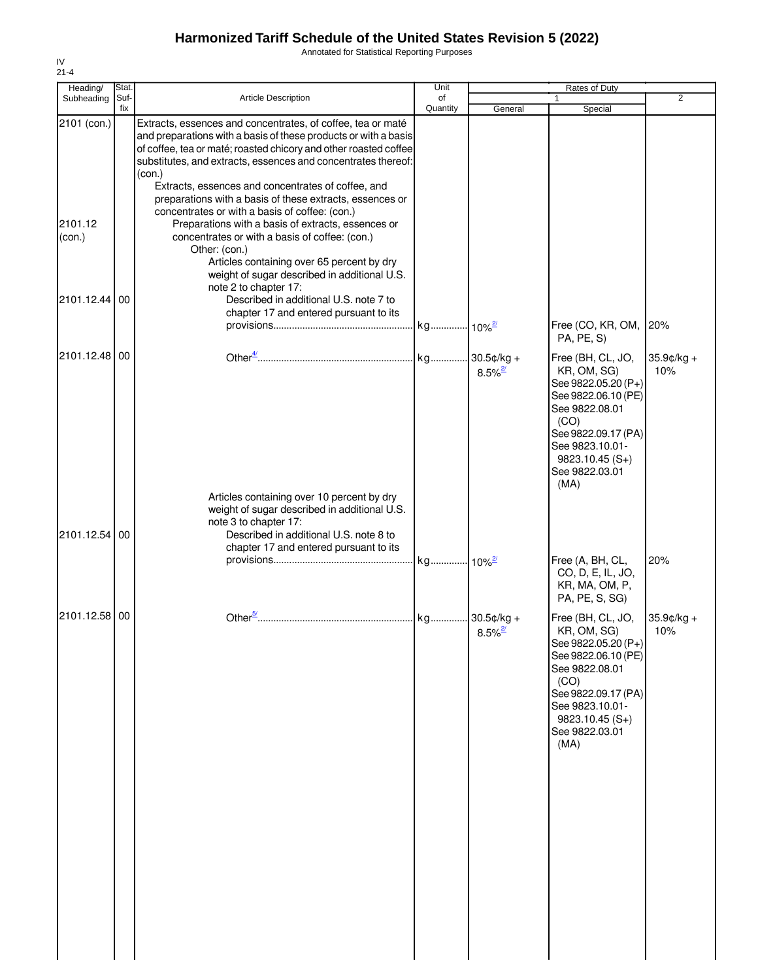Annotated for Statistical Reporting Purposes

| Heading/                         | Stat.       |                                                                                                                                                                                                                                                                                                                                                                                                                                                                                                                                                                                                                                                                          | Unit           |                       | Rates of Duty                                                                                                                                                                                    |                   |
|----------------------------------|-------------|--------------------------------------------------------------------------------------------------------------------------------------------------------------------------------------------------------------------------------------------------------------------------------------------------------------------------------------------------------------------------------------------------------------------------------------------------------------------------------------------------------------------------------------------------------------------------------------------------------------------------------------------------------------------------|----------------|-----------------------|--------------------------------------------------------------------------------------------------------------------------------------------------------------------------------------------------|-------------------|
| Subheading                       | Suf-<br>fix | Article Description                                                                                                                                                                                                                                                                                                                                                                                                                                                                                                                                                                                                                                                      | of<br>Quantity | General               | $\mathbf{1}$<br>Special                                                                                                                                                                          | $\overline{2}$    |
| 2101 (con.)<br>2101.12<br>(con.) |             | Extracts, essences and concentrates, of coffee, tea or maté<br>and preparations with a basis of these products or with a basis<br>of coffee, tea or maté; roasted chicory and other roasted coffee<br>substitutes, and extracts, essences and concentrates thereof:<br>(con.)<br>Extracts, essences and concentrates of coffee, and<br>preparations with a basis of these extracts, essences or<br>concentrates or with a basis of coffee: (con.)<br>Preparations with a basis of extracts, essences or<br>concentrates or with a basis of coffee: (con.)<br>Other: (con.)<br>Articles containing over 65 percent by dry<br>weight of sugar described in additional U.S. |                |                       |                                                                                                                                                                                                  |                   |
| 2101.12.44                       | 00          | note 2 to chapter 17:<br>Described in additional U.S. note 7 to<br>chapter 17 and entered pursuant to its                                                                                                                                                                                                                                                                                                                                                                                                                                                                                                                                                                |                |                       | Free (CO, KR, OM,<br>PA, PE, S)                                                                                                                                                                  | 20%               |
| 2101.12.48 00                    |             |                                                                                                                                                                                                                                                                                                                                                                                                                                                                                                                                                                                                                                                                          |                | $8.5\%$ <sup>2/</sup> | Free (BH, CL, JO,<br>KR, OM, SG)<br>See 9822.05.20 (P+)<br>See 9822.06.10 (PE)<br>See 9822.08.01<br>(CO)<br>See 9822.09.17 (PA)<br>See 9823.10.01-<br>$9823.10.45(S+)$<br>See 9822.03.01<br>(MA) | 35.9¢/kg +<br>10% |
| 2101.12.54                       | 00          | Articles containing over 10 percent by dry<br>weight of sugar described in additional U.S.<br>note 3 to chapter 17:<br>Described in additional U.S. note 8 to<br>chapter 17 and entered pursuant to its                                                                                                                                                                                                                                                                                                                                                                                                                                                                  |                |                       |                                                                                                                                                                                                  |                   |
|                                  |             |                                                                                                                                                                                                                                                                                                                                                                                                                                                                                                                                                                                                                                                                          |                |                       | Free (A, BH, CL,<br>CO, D, E, IL, JO,<br>KR, MA, OM, P,<br>PA, PE, S, SG)                                                                                                                        | 20%               |
| 2101.12.58                       | 00          |                                                                                                                                                                                                                                                                                                                                                                                                                                                                                                                                                                                                                                                                          |                | $8.5\%$ <sup>2/</sup> | Free (BH, CL, JO,<br>KR, OM, SG)<br>See 9822.05.20 (P+)<br>See 9822.06.10 (PE)<br>See 9822.08.01<br>(CO)<br>See 9822.09.17 (PA)<br>See 9823.10.01-<br>$9823.10.45(S+)$<br>See 9822.03.01<br>(MA) | 35.9¢/kg +<br>10% |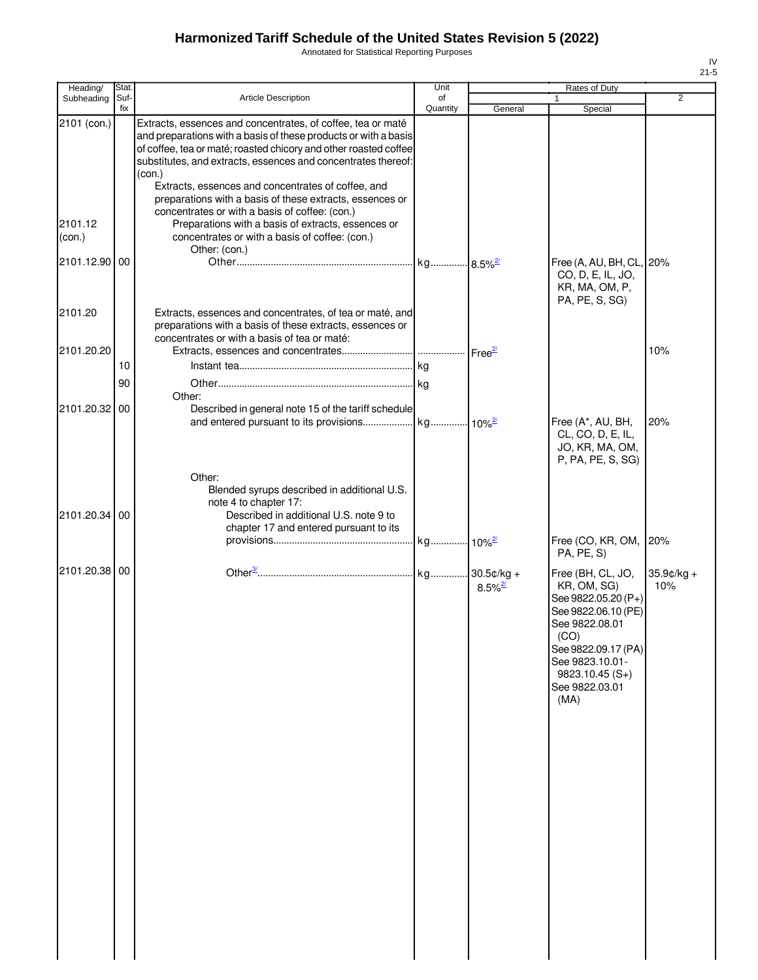Annotated for Statistical Reporting Purposes

| ۰, |
|----|

| Stat.         |                                                                                                                                                                                         | Unit                                                                                                                                                                                                                                                           |                                                                                                                                                                                                      | Rates of Duty                                                                                                                                                             |                                                                 |
|---------------|-----------------------------------------------------------------------------------------------------------------------------------------------------------------------------------------|----------------------------------------------------------------------------------------------------------------------------------------------------------------------------------------------------------------------------------------------------------------|------------------------------------------------------------------------------------------------------------------------------------------------------------------------------------------------------|---------------------------------------------------------------------------------------------------------------------------------------------------------------------------|-----------------------------------------------------------------|
| fix           |                                                                                                                                                                                         |                                                                                                                                                                                                                                                                |                                                                                                                                                                                                      |                                                                                                                                                                           | $\overline{2}$                                                  |
|               | Extracts, essences and concentrates, of coffee, tea or maté<br>(con.)<br>Extracts, essences and concentrates of coffee, and<br>preparations with a basis of these extracts, essences or |                                                                                                                                                                                                                                                                |                                                                                                                                                                                                      |                                                                                                                                                                           |                                                                 |
|               | Preparations with a basis of extracts, essences or<br>concentrates or with a basis of coffee: (con.)                                                                                    |                                                                                                                                                                                                                                                                |                                                                                                                                                                                                      |                                                                                                                                                                           |                                                                 |
|               | Other: (con.)                                                                                                                                                                           |                                                                                                                                                                                                                                                                |                                                                                                                                                                                                      |                                                                                                                                                                           |                                                                 |
|               |                                                                                                                                                                                         |                                                                                                                                                                                                                                                                |                                                                                                                                                                                                      | CO, D, E, IL, JO,<br>KR, MA, OM, P,<br>PA, PE, S, SG)                                                                                                                     |                                                                 |
|               | preparations with a basis of these extracts, essences or<br>concentrates or with a basis of tea or maté:                                                                                |                                                                                                                                                                                                                                                                |                                                                                                                                                                                                      |                                                                                                                                                                           |                                                                 |
|               |                                                                                                                                                                                         |                                                                                                                                                                                                                                                                |                                                                                                                                                                                                      |                                                                                                                                                                           | 10%                                                             |
|               |                                                                                                                                                                                         |                                                                                                                                                                                                                                                                |                                                                                                                                                                                                      |                                                                                                                                                                           |                                                                 |
| 90            |                                                                                                                                                                                         |                                                                                                                                                                                                                                                                |                                                                                                                                                                                                      |                                                                                                                                                                           |                                                                 |
| 2101.20.32 00 |                                                                                                                                                                                         |                                                                                                                                                                                                                                                                |                                                                                                                                                                                                      |                                                                                                                                                                           |                                                                 |
|               |                                                                                                                                                                                         |                                                                                                                                                                                                                                                                |                                                                                                                                                                                                      | Free (A*, AU, BH,<br>CL, CO, D, E, IL,<br>JO, KR, MA, OM,<br>P, PA, PE, S, SG)                                                                                            | 20%                                                             |
| 2101.20.34 00 | Other:<br>Blended syrups described in additional U.S.<br>note 4 to chapter 17:<br>Described in additional U.S. note 9 to                                                                |                                                                                                                                                                                                                                                                |                                                                                                                                                                                                      |                                                                                                                                                                           |                                                                 |
|               |                                                                                                                                                                                         |                                                                                                                                                                                                                                                                |                                                                                                                                                                                                      | Free (CO, KR, OM,<br>PA, PE, S)                                                                                                                                           | 20%                                                             |
| 2101.20.38 00 |                                                                                                                                                                                         |                                                                                                                                                                                                                                                                | $8.5\%$ <sup>2/</sup>                                                                                                                                                                                | Free (BH, CL, JO,<br>KR, OM, SG)<br>See 9822.05.20 (P+)<br>See 9822.06.10 (PE)<br>See 9822.08.01<br>(CO)<br>See 9823.10.01-<br>$9823.10.45(S+)$<br>See 9822.03.01<br>(MA) | $35.9$ ¢/kg +<br>10%                                            |
|               | Suf-<br>2101.12.90 00<br>10                                                                                                                                                             | Article Description<br>of coffee, tea or maté; roasted chicory and other roasted coffee<br>substitutes, and extracts, essences and concentrates thereof:<br>concentrates or with a basis of coffee: (con.)<br>Other:<br>chapter 17 and entered pursuant to its | of<br>Quantity<br>and preparations with a basis of these products or with a basis<br>Extracts, essences and concentrates, of tea or maté, and<br>Described in general note 15 of the tariff schedule | General                                                                                                                                                                   | 1<br>Special<br>Free (A, AU, BH, CL, 20%<br>See 9822.09.17 (PA) |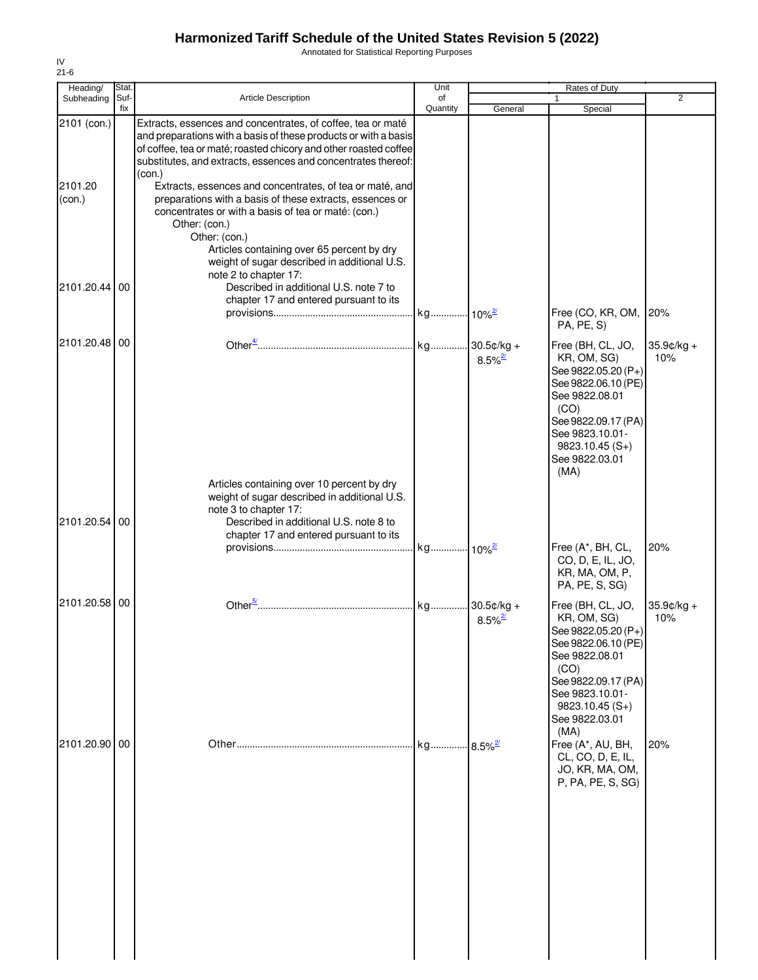Annotated for Statistical Reporting Purposes

| $21 - 6$<br>Heading/ | Stat. |                                                                                                                                                                                                                                                                                                                                                | Unit     |                                       | <b>Rates of Duty</b>                                                                                                                                                                             |                      |
|----------------------|-------|------------------------------------------------------------------------------------------------------------------------------------------------------------------------------------------------------------------------------------------------------------------------------------------------------------------------------------------------|----------|---------------------------------------|--------------------------------------------------------------------------------------------------------------------------------------------------------------------------------------------------|----------------------|
| Subheading           | Suf-  | <b>Article Description</b>                                                                                                                                                                                                                                                                                                                     | of       |                                       |                                                                                                                                                                                                  | 2                    |
| 2101 (con.)          | fix   | Extracts, essences and concentrates, of coffee, tea or maté<br>and preparations with a basis of these products or with a basis<br>of coffee, tea or maté; roasted chicory and other roasted coffee<br>substitutes, and extracts, essences and concentrates thereof:                                                                            | Quantity | General                               | Special                                                                                                                                                                                          |                      |
| 2101.20<br>(con.)    |       | (con.)<br>Extracts, essences and concentrates, of tea or maté, and<br>preparations with a basis of these extracts, essences or<br>concentrates or with a basis of tea or maté: (con.)<br>Other: (con.)<br>Other: (con.)<br>Articles containing over 65 percent by dry<br>weight of sugar described in additional U.S.<br>note 2 to chapter 17: |          |                                       |                                                                                                                                                                                                  |                      |
| 2101.20.44 00        |       | Described in additional U.S. note 7 to<br>chapter 17 and entered pursuant to its                                                                                                                                                                                                                                                               |          |                                       | Free (CO, KR, OM,<br>PA, PE, S)                                                                                                                                                                  | 20%                  |
| 2101.20.48 00        |       |                                                                                                                                                                                                                                                                                                                                                |          | $8.5\%$ <sup>2/</sup>                 | Free (BH, CL, JO,<br>KR, OM, SG)<br>See 9822.05.20 (P+)<br>See 9822.06.10 (PE)<br>See 9822.08.01<br>(CO)<br>See 9822.09.17 (PA)<br>See 9823.10.01-<br>$9823.10.45(S+)$<br>See 9822.03.01<br>(MA) | $35.9$ ¢/kg +<br>10% |
| 2101.20.54 00        |       | Articles containing over 10 percent by dry<br>weight of sugar described in additional U.S.<br>note 3 to chapter 17:<br>Described in additional U.S. note 8 to<br>chapter 17 and entered pursuant to its                                                                                                                                        |          |                                       |                                                                                                                                                                                                  |                      |
|                      |       |                                                                                                                                                                                                                                                                                                                                                |          |                                       | Free (A*, BH, CL,<br>CO, D, E, IL, JO,<br>KR, MA, OM, P,<br>PA, PE, S, SG)                                                                                                                       | 20%                  |
| 2101.20.58 00        |       |                                                                                                                                                                                                                                                                                                                                                |          | $30.5¢/kg +$<br>$8.5\%$ <sup>2/</sup> | Free (BH, CL, JO,<br>KR, OM, SG)<br>See 9822.05.20 (P+)<br>See 9822.06.10 (PE)<br>See 9822.08.01<br>(CO)<br>See 9822.09.17 (PA)<br>See 9823.10.01-<br>$9823.10.45(S+)$<br>See 9822.03.01<br>(MA) | 35.9¢/kg +<br>10%    |
| 2101.20.90 00        |       |                                                                                                                                                                                                                                                                                                                                                |          | $.8.5\%$ <sup>2</sup>                 | Free (A*, AU, BH,<br>CL, CO, D, E, IL,<br>JO, KR, MA, OM,<br>P, PA, PE, S, SG)                                                                                                                   | 20%                  |

IV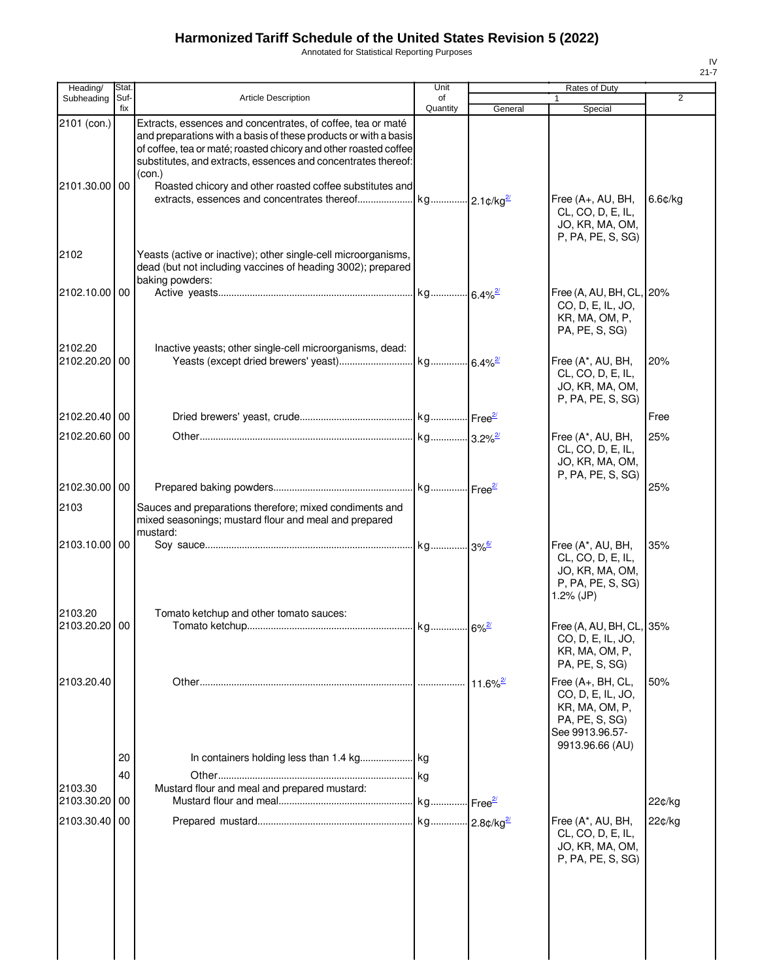Annotated for Statistical Reporting Purposes

| Heading/              | Stat.       |                                                                                                                                                                                                                                                                     | Unit           |                        | Rates of Duty                                                                                                    |                |
|-----------------------|-------------|---------------------------------------------------------------------------------------------------------------------------------------------------------------------------------------------------------------------------------------------------------------------|----------------|------------------------|------------------------------------------------------------------------------------------------------------------|----------------|
| Subheading            | Suf-<br>fix | <b>Article Description</b>                                                                                                                                                                                                                                          | of<br>Quantity | General                | Special                                                                                                          | $\overline{2}$ |
| 2101 (con.)           |             | Extracts, essences and concentrates, of coffee, tea or maté<br>and preparations with a basis of these products or with a basis<br>of coffee, tea or maté; roasted chicory and other roasted coffee<br>substitutes, and extracts, essences and concentrates thereof: |                |                        |                                                                                                                  |                |
| 2101.30.00 00         |             | (con.)<br>Roasted chicory and other roasted coffee substitutes and                                                                                                                                                                                                  |                |                        | Free (A+, AU, BH,<br>CL, CO, D, E, IL,<br>JO, KR, MA, OM,<br>P, PA, PE, S, SG)                                   | 6.6¢/kg        |
| 2102                  |             | Yeasts (active or inactive); other single-cell microorganisms,<br>dead (but not including vaccines of heading 3002); prepared<br>baking powders:                                                                                                                    |                |                        |                                                                                                                  |                |
| 2102.10.00            | 00          |                                                                                                                                                                                                                                                                     |                |                        | Free (A, AU, BH, CL,<br>CO, D, E, IL, JO,<br>KR, MA, OM, P,<br>PA, PE, S, SG)                                    | 20%            |
| 2102.20<br>2102.20.20 | 00          | Inactive yeasts; other single-cell microorganisms, dead:                                                                                                                                                                                                            |                |                        | Free (A*, AU, BH,<br>CL, CO, D, E, IL,<br>JO, KR, MA, OM,<br>P, PA, PE, S, SG)                                   | 20%            |
| 2102.20.40 00         |             |                                                                                                                                                                                                                                                                     |                |                        |                                                                                                                  | Free           |
| 2102.20.60 00         |             |                                                                                                                                                                                                                                                                     |                |                        | Free (A*, AU, BH,<br>CL, CO, D, E, IL,<br>JO, KR, MA, OM,<br>P, PA, PE, S, SG)                                   | 25%            |
| 2102.30.00 00         |             |                                                                                                                                                                                                                                                                     |                |                        |                                                                                                                  | 25%            |
| 2103                  |             | Sauces and preparations therefore; mixed condiments and<br>mixed seasonings; mustard flour and meal and prepared<br>mustard:                                                                                                                                        |                |                        |                                                                                                                  |                |
| 2103.10.00 00         |             |                                                                                                                                                                                                                                                                     |                |                        | Free (A*, AU, BH,<br>CL, CO, D, E, IL,<br>JO, KR, MA, OM,<br>P, PA, PE, S, SG)<br>$1.2%$ (JP)                    | 35%            |
| 2103.20               |             | Tomato ketchup and other tomato sauces:                                                                                                                                                                                                                             |                |                        |                                                                                                                  |                |
| 2103.20.20 00         |             |                                                                                                                                                                                                                                                                     |                |                        | Free (A, AU, BH, CL, 35%<br>CO, D, E, IL, JO,<br>KR, MA, OM, P,<br>PA, PE, S, SG)                                |                |
| 2103.20.40            |             |                                                                                                                                                                                                                                                                     |                | $11.6\%$ <sup>2/</sup> | Free (A+, BH, CL,<br>CO, D, E, IL, JO,<br>KR, MA, OM, P,<br>PA, PE, S, SG)<br>See 9913.96.57-<br>9913.96.66 (AU) | 50%            |
|                       | 20          |                                                                                                                                                                                                                                                                     |                |                        |                                                                                                                  |                |
| 2103.30               | 40          | Mustard flour and meal and prepared mustard:                                                                                                                                                                                                                        | kg             |                        |                                                                                                                  |                |
| 2103.30.20            | 00          |                                                                                                                                                                                                                                                                     |                | Free <sup>2/</sup>     |                                                                                                                  | 22¢/kg         |
| 2103.30.40            | 00          |                                                                                                                                                                                                                                                                     |                |                        | Free (A*, AU, BH,<br>CL, CO, D, E, IL,<br>JO, KR, MA, OM,<br>P, PA, PE, S, SG)                                   | 22¢/kg         |
|                       |             |                                                                                                                                                                                                                                                                     |                |                        |                                                                                                                  |                |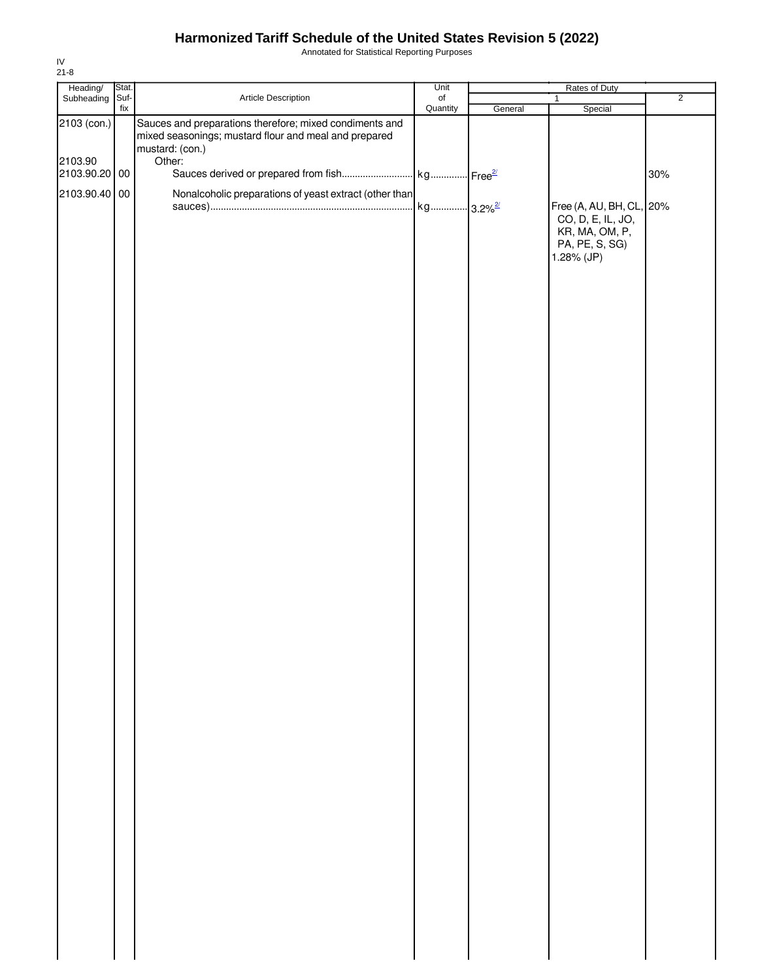Annotated for Statistical Reporting Purposes

| Heading/      | Stat. |                                                                                                                  | Unit             |         | Rates of Duty                                                       |                |
|---------------|-------|------------------------------------------------------------------------------------------------------------------|------------------|---------|---------------------------------------------------------------------|----------------|
| Subheading    | Suf-  | Article Description                                                                                              | $_{\mathsf{of}}$ |         | $\mathbf{1}$                                                        | $\overline{2}$ |
| 2103 (con.)   | fix   | Sauces and preparations therefore; mixed condiments and<br>mixed seasonings; mustard flour and meal and prepared | Quantity         | General | Special                                                             |                |
| 2103.90       |       | mustard: (con.)<br>Other:                                                                                        |                  |         |                                                                     |                |
| 2103.90.20 00 |       |                                                                                                                  |                  |         |                                                                     | 30%            |
| 2103.90.40 00 |       | Nonalcoholic preparations of yeast extract (other than                                                           |                  |         | Free (A, AU, BH, CL, 20%                                            |                |
|               |       |                                                                                                                  |                  |         | CO, D, E, IL, JO,<br>KR, MA, OM, P,<br>PA, PE, S, SG)<br>1.28% (JP) |                |
|               |       |                                                                                                                  |                  |         |                                                                     |                |
|               |       |                                                                                                                  |                  |         |                                                                     |                |
|               |       |                                                                                                                  |                  |         |                                                                     |                |
|               |       |                                                                                                                  |                  |         |                                                                     |                |
|               |       |                                                                                                                  |                  |         |                                                                     |                |
|               |       |                                                                                                                  |                  |         |                                                                     |                |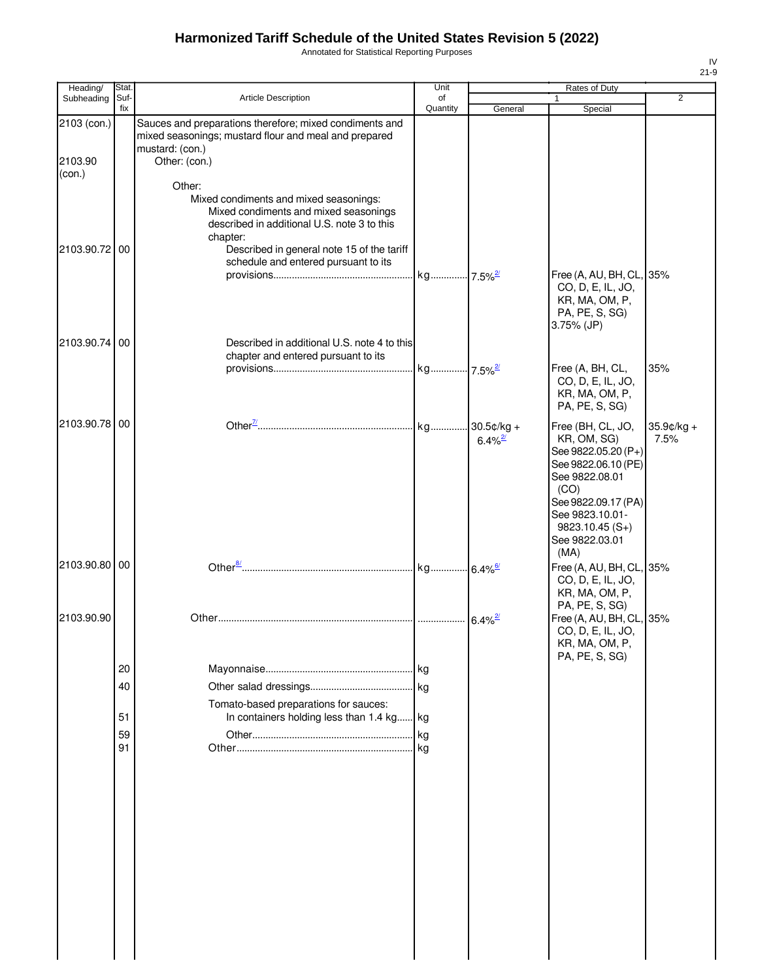Annotated for Statistical Reporting Purposes

| Heading/          | Stat.       |                                                                                                                                                                                                                                            | Unit           |                       | Rates of Duty                                                                                                                                                                            |                       |
|-------------------|-------------|--------------------------------------------------------------------------------------------------------------------------------------------------------------------------------------------------------------------------------------------|----------------|-----------------------|------------------------------------------------------------------------------------------------------------------------------------------------------------------------------------------|-----------------------|
| Subheading        | Suf-<br>fix | <b>Article Description</b>                                                                                                                                                                                                                 | of<br>Quantity | General               | $\mathbf{1}$<br>Special                                                                                                                                                                  | 2                     |
| 2103 (con.)       |             | Sauces and preparations therefore; mixed condiments and<br>mixed seasonings; mustard flour and meal and prepared<br>mustard: (con.)                                                                                                        |                |                       |                                                                                                                                                                                          |                       |
| 2103.90<br>(con.) |             | Other: (con.)                                                                                                                                                                                                                              |                |                       |                                                                                                                                                                                          |                       |
| 2103.90.72 00     |             | Other:<br>Mixed condiments and mixed seasonings:<br>Mixed condiments and mixed seasonings<br>described in additional U.S. note 3 to this<br>chapter:<br>Described in general note 15 of the tariff<br>schedule and entered pursuant to its |                |                       |                                                                                                                                                                                          |                       |
| 2103.90.74 00     |             | Described in additional U.S. note 4 to this                                                                                                                                                                                                |                |                       | Free (A, AU, BH, CL, 35%<br>CO, D, E, IL, JO,<br>KR, MA, OM, P,<br>PA, PE, S, SG)<br>3.75% (JP)                                                                                          |                       |
|                   |             | chapter and entered pursuant to its                                                                                                                                                                                                        |                |                       |                                                                                                                                                                                          |                       |
|                   |             |                                                                                                                                                                                                                                            |                |                       | Free (A, BH, CL,<br>CO, D, E, IL, JO,<br>KR, MA, OM, P,<br>PA, PE, S, SG)                                                                                                                | 35%                   |
| 2103.90.78 00     |             |                                                                                                                                                                                                                                            |                | $6.4\%$ <sup>2/</sup> | Free (BH, CL, JO,<br>KR, OM, SG)<br>See 9822.05.20 (P+)<br>See 9822.06.10 (PE)<br>See 9822.08.01<br>(CO)<br>See 9822.09.17 (PA)<br>See 9823.10.01-<br>$9823.10.45(S+)$<br>See 9822.03.01 | $35.9$ ¢/kg +<br>7.5% |
| 2103.90.80 00     |             |                                                                                                                                                                                                                                            |                |                       | (MA)<br>Free (A, AU, BH, CL, 35%<br>CO, D, E, IL, JO,<br>KR, MA, OM, P,                                                                                                                  |                       |
| 2103.90.90        |             |                                                                                                                                                                                                                                            |                |                       | PA, PE, S, SG)<br>Free (A, AU, BH, CL, 35%<br>CO, D, E, IL, JO,<br>KR, MA, OM, P,                                                                                                        |                       |
|                   |             |                                                                                                                                                                                                                                            |                |                       | PA, PE, S, SG)                                                                                                                                                                           |                       |
|                   | 20          |                                                                                                                                                                                                                                            |                |                       |                                                                                                                                                                                          |                       |
|                   | 40          |                                                                                                                                                                                                                                            |                |                       |                                                                                                                                                                                          |                       |
|                   | 51          | Tomato-based preparations for sauces:<br>In containers holding less than 1.4 kg kg                                                                                                                                                         |                |                       |                                                                                                                                                                                          |                       |
|                   | 59          |                                                                                                                                                                                                                                            |                |                       |                                                                                                                                                                                          |                       |
|                   | 91          |                                                                                                                                                                                                                                            |                |                       |                                                                                                                                                                                          |                       |
|                   |             |                                                                                                                                                                                                                                            |                |                       |                                                                                                                                                                                          |                       |
|                   |             |                                                                                                                                                                                                                                            |                |                       |                                                                                                                                                                                          |                       |
|                   |             |                                                                                                                                                                                                                                            |                |                       |                                                                                                                                                                                          |                       |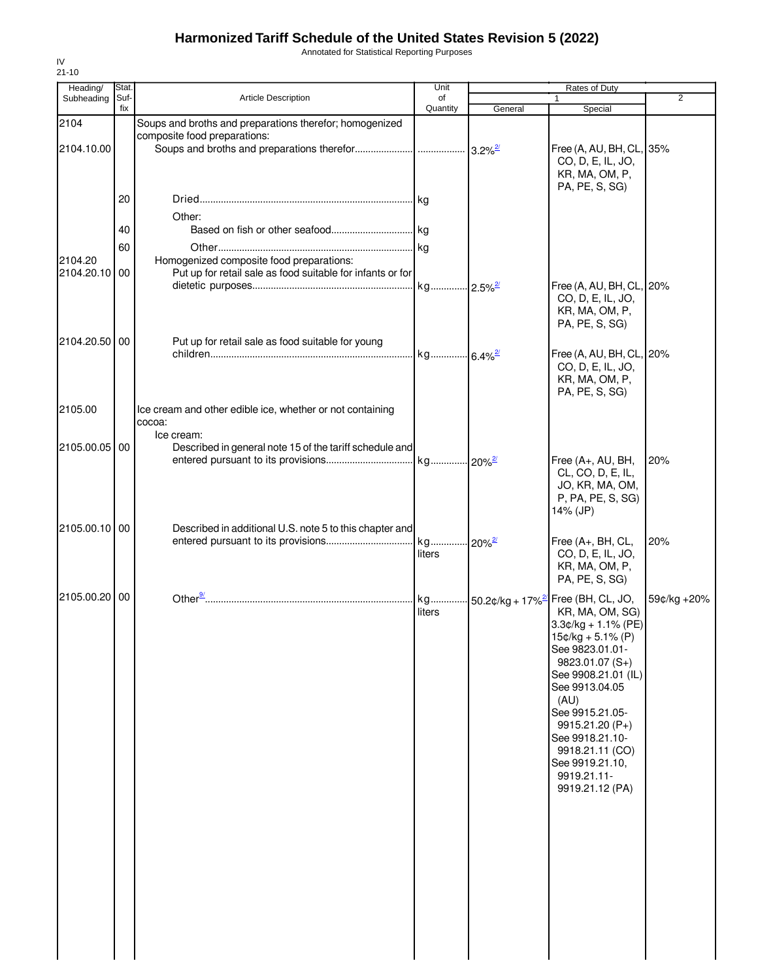Annotated for Statistical Reporting Purposes

| Heading/      | Stat. |                                                            | Unit                  |                        | Rates of Duty                                      |             |
|---------------|-------|------------------------------------------------------------|-----------------------|------------------------|----------------------------------------------------|-------------|
| Subheading    | Suf-  | <b>Article Description</b>                                 | of                    |                        |                                                    | 2           |
|               | fix   |                                                            | Quantity              | General                | Special                                            |             |
| 2104          |       | Soups and broths and preparations therefor; homogenized    |                       |                        |                                                    |             |
|               |       | composite food preparations:                               |                       |                        |                                                    |             |
| 2104.10.00    |       |                                                            |                       | $3.2\%$ <sup>2/</sup>  | Free (A, AU, BH, CL, 35%                           |             |
|               |       |                                                            |                       |                        | CO, D, E, IL, JO,                                  |             |
|               |       |                                                            |                       |                        | KR, MA, OM, P,                                     |             |
|               |       |                                                            |                       |                        | PA, PE, S, SG)                                     |             |
|               | 20    |                                                            |                       |                        |                                                    |             |
|               |       | Other:                                                     |                       |                        |                                                    |             |
|               | 40    |                                                            |                       |                        |                                                    |             |
|               | 60    |                                                            |                       |                        |                                                    |             |
| 2104.20       |       | Homogenized composite food preparations:                   |                       |                        |                                                    |             |
| 2104.20.10    | 00    | Put up for retail sale as food suitable for infants or for |                       |                        |                                                    |             |
|               |       |                                                            | kg                    | $-2.5\%$ <sup>2/</sup> | Free (A, AU, BH, CL, 20%                           |             |
|               |       |                                                            |                       |                        | CO, D, E, IL, JO,                                  |             |
|               |       |                                                            |                       |                        | KR, MA, OM, P,                                     |             |
|               |       |                                                            |                       |                        | PA, PE, S, SG)                                     |             |
|               |       |                                                            |                       |                        |                                                    |             |
| 2104.20.50 00 |       | Put up for retail sale as food suitable for young          |                       |                        |                                                    |             |
|               |       |                                                            | kg 6.4% <sup>2/</sup> |                        | Free (A, AU, BH, CL, 20%                           |             |
|               |       |                                                            |                       |                        | CO, D, E, IL, JO,                                  |             |
|               |       |                                                            |                       |                        | KR, MA, OM, P,                                     |             |
|               |       |                                                            |                       |                        | PA, PE, S, SG)                                     |             |
| 2105.00       |       | Ice cream and other edible ice, whether or not containing  |                       |                        |                                                    |             |
|               |       | cocoa:                                                     |                       |                        |                                                    |             |
|               |       | Ice cream:                                                 |                       |                        |                                                    |             |
| 2105.00.05 00 |       | Described in general note 15 of the tariff schedule and    |                       |                        |                                                    |             |
|               |       |                                                            |                       | $-20\%$ <sup>2/</sup>  | Free (A+, AU, BH,                                  | 20%         |
|               |       |                                                            |                       |                        | CL, CO, D, E, IL,                                  |             |
|               |       |                                                            |                       |                        | JO, KR, MA, OM,                                    |             |
|               |       |                                                            |                       |                        | P, PA, PE, S, SG)                                  |             |
|               |       |                                                            |                       |                        | 14% (JP)                                           |             |
|               |       |                                                            |                       |                        |                                                    |             |
| 2105.00.10 00 |       | Described in additional U.S. note 5 to this chapter and    |                       |                        |                                                    |             |
|               |       |                                                            | kg                    | $-20\%$ <sup>2/</sup>  | Free $(A+, BH, CL,$                                | 20%         |
|               |       |                                                            | liters                |                        | CO, D, E, IL, JO,                                  |             |
|               |       |                                                            |                       |                        | KR, MA, OM, P,                                     |             |
|               |       |                                                            |                       |                        | PA, PE, S, SG)                                     |             |
| 2105.00.20 00 |       |                                                            | kg                    |                        | $-50.2$ ¢/kg + 17% <sup>2/</sup> Free (BH, CL, JO, | 59¢/kg +20% |
|               |       |                                                            | liters                |                        | KR, MA, OM, SG)                                    |             |
|               |       |                                                            |                       |                        | $3.3¢/kg + 1.1% (PE)$                              |             |
|               |       |                                                            |                       |                        | $15¢/kg + 5.1% (P)$                                |             |
|               |       |                                                            |                       |                        |                                                    |             |
|               |       |                                                            |                       |                        | See 9823.01.01-                                    |             |
|               |       |                                                            |                       |                        | $9823.01.07(S+)$                                   |             |
|               |       |                                                            |                       |                        | See 9908.21.01 (IL)                                |             |
|               |       |                                                            |                       |                        | See 9913.04.05                                     |             |
|               |       |                                                            |                       |                        | (AU)                                               |             |
|               |       |                                                            |                       |                        | See 9915.21.05-                                    |             |
|               |       |                                                            |                       |                        | 9915.21.20 (P+)                                    |             |
|               |       |                                                            |                       |                        | See 9918.21.10-                                    |             |
|               |       |                                                            |                       |                        | 9918.21.11 (CO)                                    |             |
|               |       |                                                            |                       |                        | See 9919.21.10,                                    |             |
|               |       |                                                            |                       |                        | 9919.21.11-                                        |             |
|               |       |                                                            |                       |                        | 9919.21.12 (PA)                                    |             |
|               |       |                                                            |                       |                        |                                                    |             |
|               |       |                                                            |                       |                        |                                                    |             |
|               |       |                                                            |                       |                        |                                                    |             |
|               |       |                                                            |                       |                        |                                                    |             |
|               |       |                                                            |                       |                        |                                                    |             |
|               |       |                                                            |                       |                        |                                                    |             |
|               |       |                                                            |                       |                        |                                                    |             |
|               |       |                                                            |                       |                        |                                                    |             |
|               |       |                                                            |                       |                        |                                                    |             |
|               |       |                                                            |                       |                        |                                                    |             |
|               |       |                                                            |                       |                        |                                                    |             |
|               |       |                                                            |                       |                        |                                                    |             |
|               |       |                                                            |                       |                        |                                                    |             |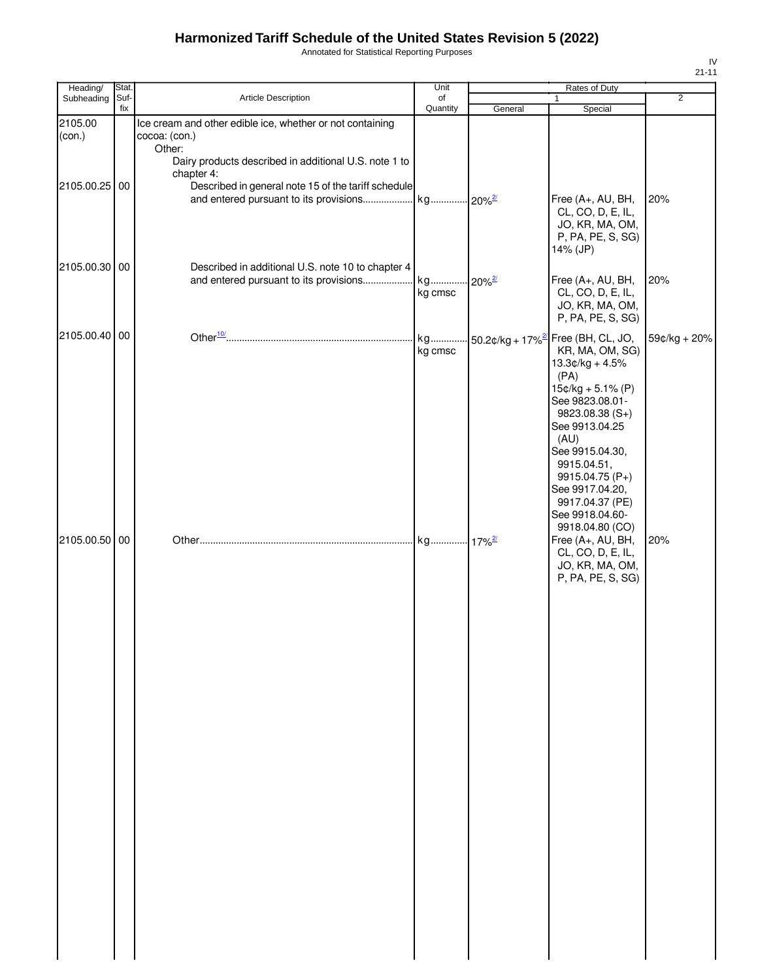Annotated for Statistical Reporting Purposes

| Heading/          | Stat.       |                                                                                                                                                             | Unit           |         | Rates of Duty                                                                                                                                                                                                                                                                                                              |                |
|-------------------|-------------|-------------------------------------------------------------------------------------------------------------------------------------------------------------|----------------|---------|----------------------------------------------------------------------------------------------------------------------------------------------------------------------------------------------------------------------------------------------------------------------------------------------------------------------------|----------------|
| Subheading        | Suf-<br>fix | Article Description                                                                                                                                         | of<br>Quantity | General | $\mathbf{1}$<br>Special                                                                                                                                                                                                                                                                                                    | $\overline{2}$ |
| 2105.00<br>(con.) |             | Ice cream and other edible ice, whether or not containing<br>cocoa: (con.)<br>Other:<br>Dairy products described in additional U.S. note 1 to<br>chapter 4: |                |         |                                                                                                                                                                                                                                                                                                                            |                |
| 2105.00.25 00     |             | Described in general note 15 of the tariff schedule                                                                                                         |                |         | Free (A+, AU, BH,<br>CL, CO, D, E, IL,<br>JO, KR, MA, OM,<br>P, PA, PE, S, SG)<br>14% (JP)                                                                                                                                                                                                                                 | 20%            |
| 2105.00.30 00     |             | Described in additional U.S. note 10 to chapter 4                                                                                                           | kg cmsc        |         | Free (A+, AU, BH,<br>CL, CO, D, E, IL,<br>JO, KR, MA, OM,<br>P, PA, PE, S, SG)                                                                                                                                                                                                                                             | 20%            |
| 2105.00.40 00     |             |                                                                                                                                                             | kg cmsc        |         | kg 50.2¢/kg + 17% <sup>2/</sup> Free (BH, CL, JO,<br>KR, MA, OM, SG)<br>$13.3¢/kg + 4.5%$<br>(PA)<br>$15¢/kg + 5.1% (P)$<br>See 9823.08.01-<br>$9823.08.38(S+)$<br>See 9913.04.25<br>(AU)<br>See 9915.04.30,<br>9915.04.51,<br>9915.04.75 (P+)<br>See 9917.04.20,<br>9917.04.37 (PE)<br>See 9918.04.60-<br>9918.04.80 (CO) | 59¢/kg + 20%   |
| 2105.00.50 00     |             |                                                                                                                                                             |                |         | Free (A+, AU, BH,<br>CL, CO, D, E, IL,<br>JO, KR, MA, OM,<br>P, PA, PE, S, SG)                                                                                                                                                                                                                                             | 20%            |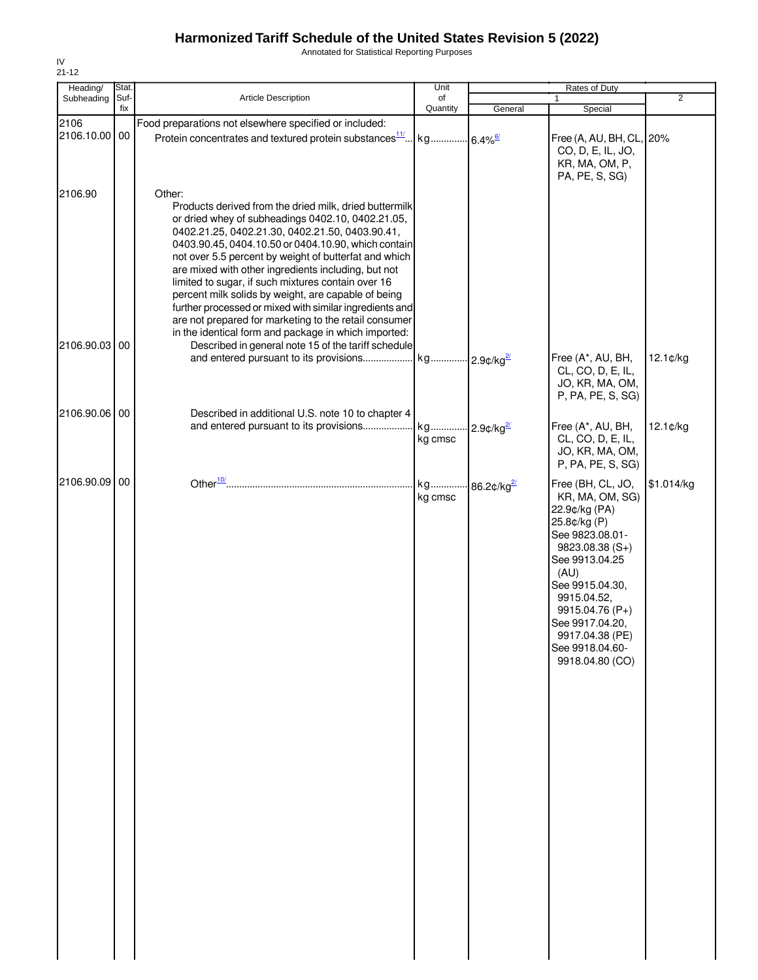Annotated for Statistical Reporting Purposes

| Heading/              | Stat.       |                                                                                                                                                                                                                                                                                                                                                                                                                                                                                                                                                                                                                                          | Unit           |                           | Rates of Duty                                                                                                                                                                                                                                                           |                |
|-----------------------|-------------|------------------------------------------------------------------------------------------------------------------------------------------------------------------------------------------------------------------------------------------------------------------------------------------------------------------------------------------------------------------------------------------------------------------------------------------------------------------------------------------------------------------------------------------------------------------------------------------------------------------------------------------|----------------|---------------------------|-------------------------------------------------------------------------------------------------------------------------------------------------------------------------------------------------------------------------------------------------------------------------|----------------|
| Subheading            | Suf-<br>fix | Article Description                                                                                                                                                                                                                                                                                                                                                                                                                                                                                                                                                                                                                      | of<br>Quantity |                           | 1                                                                                                                                                                                                                                                                       | $\overline{2}$ |
|                       |             |                                                                                                                                                                                                                                                                                                                                                                                                                                                                                                                                                                                                                                          |                | General                   | Special                                                                                                                                                                                                                                                                 |                |
| 2106<br>2106.10.00 00 |             | Food preparations not elsewhere specified or included:<br>Protein concentrates and textured protein substances <sup>11/</sup> kg                                                                                                                                                                                                                                                                                                                                                                                                                                                                                                         |                | $-6.4\%$ <sup>6/</sup>    | Free (A, AU, BH, CL, 20%<br>CO, D, E, IL, JO,<br>KR, MA, OM, P,<br>PA, PE, S, SG)                                                                                                                                                                                       |                |
| 2106.90               |             | Other:<br>Products derived from the dried milk, dried buttermilk<br>or dried whey of subheadings 0402.10, 0402.21.05,<br>0402.21.25, 0402.21.30, 0402.21.50, 0403.90.41,<br>0403.90.45, 0404.10.50 or 0404.10.90, which contain<br>not over 5.5 percent by weight of butterfat and which<br>are mixed with other ingredients including, but not<br>limited to sugar, if such mixtures contain over 16<br>percent milk solids by weight, are capable of being<br>further processed or mixed with similar ingredients and<br>are not prepared for marketing to the retail consumer<br>in the identical form and package in which imported: |                |                           |                                                                                                                                                                                                                                                                         |                |
| 2106.90.03            | 00          | Described in general note 15 of the tariff schedule                                                                                                                                                                                                                                                                                                                                                                                                                                                                                                                                                                                      |                |                           | Free (A*, AU, BH,<br>CL, CO, D, E, IL,<br>JO, KR, MA, OM,<br>P, PA, PE, S, SG)                                                                                                                                                                                          | $12.1$ ¢/kg    |
| 2106.90.06 00         |             | Described in additional U.S. note 10 to chapter 4<br>and entered pursuant to its provisions                                                                                                                                                                                                                                                                                                                                                                                                                                                                                                                                              | kg<br>kg cmsc  | $2.9$ ¢/kg $\frac{27}{2}$ | Free (A*, AU, BH,<br>CL, CO, D, E, IL,<br>JO, KR, MA, OM,<br>P, PA, PE, S, SG)                                                                                                                                                                                          | 12.1¢/kg       |
| 2106.90.09            | 00          |                                                                                                                                                                                                                                                                                                                                                                                                                                                                                                                                                                                                                                          | kg<br>kg cmsc  | 86.2¢/kg2                 | Free (BH, CL, JO,<br>KR, MA, OM, SG)<br>22.9¢/kg (PA)<br>25.8¢/kg (P)<br>See 9823.08.01-<br>$9823.08.38(S+)$<br>See 9913.04.25<br>(AU)<br>See 9915.04.30,<br>9915.04.52,<br>9915.04.76 (P+)<br>See 9917.04.20,<br>9917.04.38 (PE)<br>See 9918.04.60-<br>9918.04.80 (CO) | \$1.014/kg     |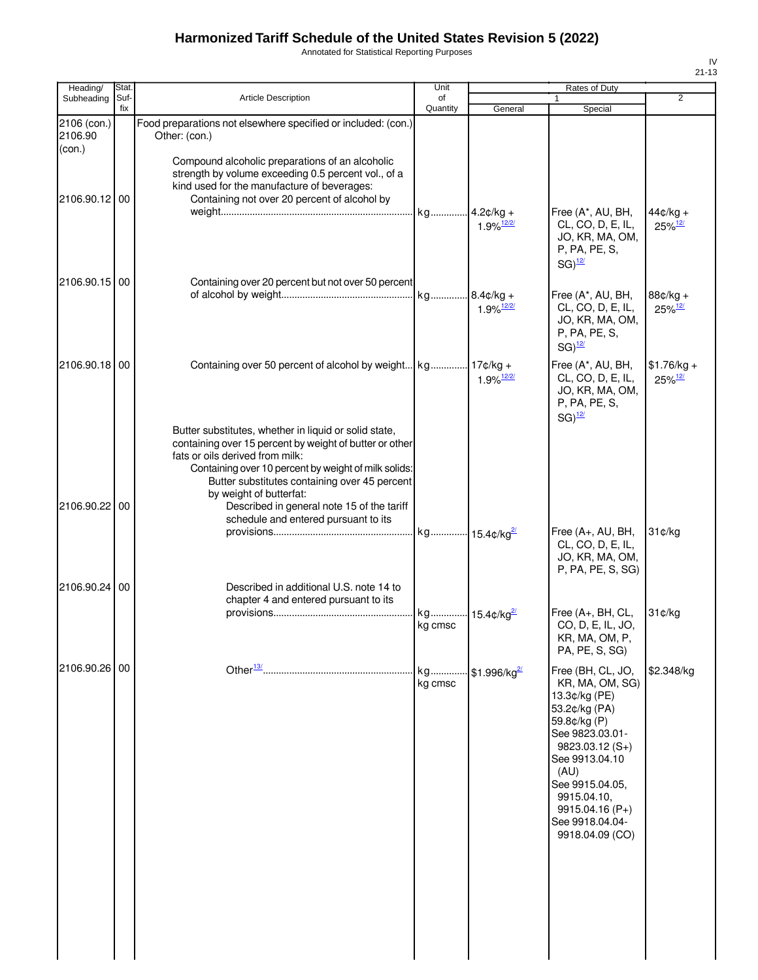Annotated for Statistical Reporting Purposes

| Heading/                | Stat.       |                                                                                                                                                                                                                                                                                                                                                                               | Unit                    |                                  | Rates of Duty                                                                                                                                                                                                                                       |                                       |
|-------------------------|-------------|-------------------------------------------------------------------------------------------------------------------------------------------------------------------------------------------------------------------------------------------------------------------------------------------------------------------------------------------------------------------------------|-------------------------|----------------------------------|-----------------------------------------------------------------------------------------------------------------------------------------------------------------------------------------------------------------------------------------------------|---------------------------------------|
| Subheading              | Suf-<br>fix | <b>Article Description</b>                                                                                                                                                                                                                                                                                                                                                    | of<br>Quantity          | General                          | Special                                                                                                                                                                                                                                             | $\overline{2}$                        |
| 2106 (con.)<br>2106.90  |             | Food preparations not elsewhere specified or included: (con.)<br>Other: (con.)                                                                                                                                                                                                                                                                                                |                         |                                  |                                                                                                                                                                                                                                                     |                                       |
| (con.)<br>2106.90.12 00 |             | Compound alcoholic preparations of an alcoholic<br>strength by volume exceeding 0.5 percent vol., of a<br>kind used for the manufacture of beverages:<br>Containing not over 20 percent of alcohol by                                                                                                                                                                         | kg 4.2¢/kg +            |                                  | Free (A*, AU, BH,                                                                                                                                                                                                                                   | $44¢/kg +$                            |
|                         |             |                                                                                                                                                                                                                                                                                                                                                                               |                         | $1.9\%$ <sup>12/2/</sup>         | CL, CO, D, E, IL,<br>JO, KR, MA, OM,<br>P, PA, PE, S,<br>$SG)$ <sup>12/</sup>                                                                                                                                                                       | 25%12/                                |
| 2106.90.15 00           |             | Containing over 20 percent but not over 50 percent                                                                                                                                                                                                                                                                                                                            |                         | $1.9\%$ <sup>12/2/</sup>         | Free (A*, AU, BH,<br>CL, CO, D, E, IL,<br>JO, KR, MA, OM,<br>P, PA, PE, S,<br>$SG)$ <sup>12/</sup>                                                                                                                                                  | 88¢/kg +<br>$25\%$ <sup>12/</sup>     |
| 2106.90.18 00           |             | Containing over 50 percent of alcohol by weight kg 17¢/kg +                                                                                                                                                                                                                                                                                                                   |                         | $1.9\%$ <sup>12/2/</sup>         | Free (A*, AU, BH,<br>CL, CO, D, E, IL,<br>JO, KR, MA, OM,<br>P, PA, PE, S,<br>$SG)^{12/2}$                                                                                                                                                          | $$1.76/kg +$<br>$25\%$ <sup>12/</sup> |
| 2106.90.22 00           |             | Butter substitutes, whether in liquid or solid state,<br>containing over 15 percent by weight of butter or other<br>fats or oils derived from milk:<br>Containing over 10 percent by weight of milk solids:<br>Butter substitutes containing over 45 percent<br>by weight of butterfat:<br>Described in general note 15 of the tariff<br>schedule and entered pursuant to its |                         |                                  |                                                                                                                                                                                                                                                     |                                       |
| 2106.90.24              | 00          | Described in additional U.S. note 14 to                                                                                                                                                                                                                                                                                                                                       | kg 15.4¢/kg2            |                                  | Free (A+, AU, BH,<br>CL, CO, D, E, IL,<br>JO, KR, MA, OM,<br>P, PA, PE, S, SG)                                                                                                                                                                      | 31¢/kg                                |
|                         |             | chapter 4 and entered pursuant to its                                                                                                                                                                                                                                                                                                                                         | kg 15.4¢/kg2<br>kg cmsc |                                  | Free (A+, BH, CL,<br>CO, D, E, IL, JO,<br>KR, MA, OM, P,                                                                                                                                                                                            | 31¢/kg                                |
|                         |             |                                                                                                                                                                                                                                                                                                                                                                               |                         |                                  | PA, PE, S, SG)                                                                                                                                                                                                                                      |                                       |
| 2106.90.26 00           |             |                                                                                                                                                                                                                                                                                                                                                                               | kg<br>kg cmsc           | $\cdot$ \$1.996/kg <sup>2/</sup> | Free (BH, CL, JO,<br>KR, MA, OM, SG)<br>13.3¢/kg (PE)<br>53.2¢/kg (PA)<br>59.8¢/kg (P)<br>See 9823.03.01-<br>$9823.03.12(S+)$<br>See 9913.04.10<br>(AU)<br>See 9915.04.05,<br>9915.04.10,<br>$9915.04.16(P+)$<br>See 9918.04.04-<br>9918.04.09 (CO) | \$2.348/kg                            |
|                         |             |                                                                                                                                                                                                                                                                                                                                                                               |                         |                                  |                                                                                                                                                                                                                                                     |                                       |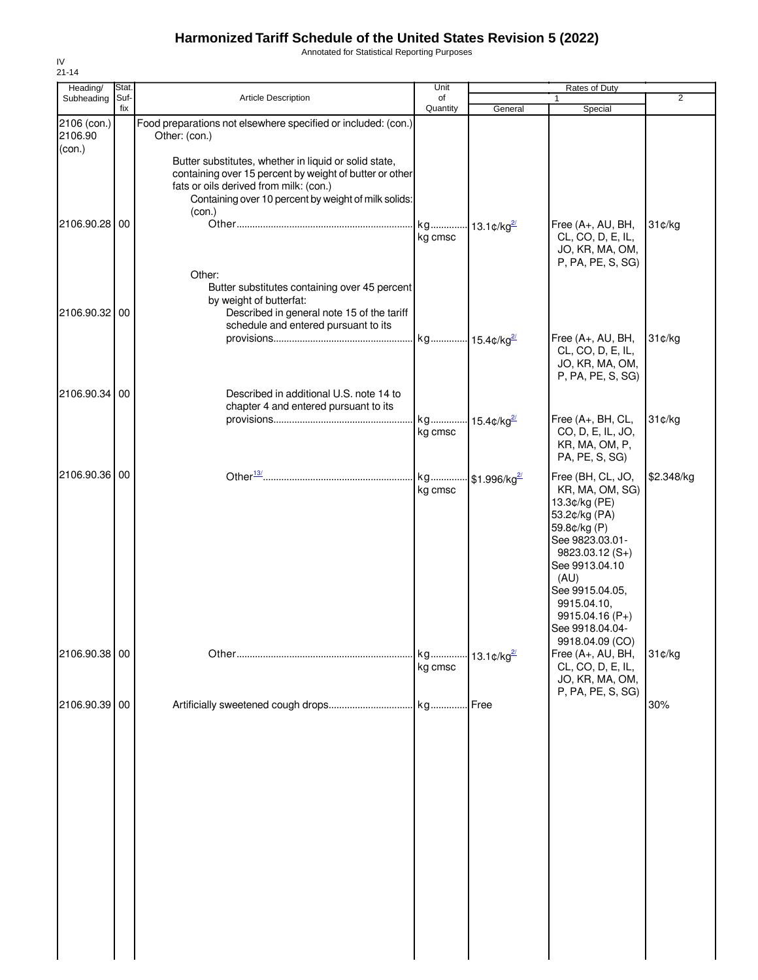Annotated for Statistical Reporting Purposes

| Heading/               | Stat.       |                                                                                                                                                                                                                              | Unit                      |                                | Rates of Duty                                                                                                                                                                                                                                      |                |
|------------------------|-------------|------------------------------------------------------------------------------------------------------------------------------------------------------------------------------------------------------------------------------|---------------------------|--------------------------------|----------------------------------------------------------------------------------------------------------------------------------------------------------------------------------------------------------------------------------------------------|----------------|
| Subheading             | Suf-<br>fix | <b>Article Description</b>                                                                                                                                                                                                   | of<br>Quantity            | General                        | Special                                                                                                                                                                                                                                            | $\overline{2}$ |
| 2106 (con.)<br>2106.90 |             | Food preparations not elsewhere specified or included: (con.)<br>Other: (con.)                                                                                                                                               |                           |                                |                                                                                                                                                                                                                                                    |                |
| (con.)<br>2106.90.28   | 00          | Butter substitutes, whether in liquid or solid state,<br>containing over 15 percent by weight of butter or other<br>fats or oils derived from milk: (con.)<br>Containing over 10 percent by weight of milk solids:<br>(con.) | kg<br>kg cmsc             | $\cdot$ 13.1¢/kg <sup>2/</sup> | Free (A+, AU, BH,<br>CL, CO, D, E, IL,                                                                                                                                                                                                             | 31¢/kg         |
| 2106.90.32 00          |             | Other:<br>Butter substitutes containing over 45 percent<br>by weight of butterfat:<br>Described in general note 15 of the tariff<br>schedule and entered pursuant to its                                                     | kg 15.4¢/kg <sup>2/</sup> |                                | JO, KR, MA, OM,<br>P, PA, PE, S, SG)<br>Free (A+, AU, BH,                                                                                                                                                                                          | 31¢/kg         |
| 2106.90.34             | 00          | Described in additional U.S. note 14 to                                                                                                                                                                                      |                           |                                | CL, CO, D, E, IL,<br>JO, KR, MA, OM,<br>P, PA, PE, S, SG)                                                                                                                                                                                          |                |
|                        |             | chapter 4 and entered pursuant to its                                                                                                                                                                                        | kg<br>kg cmsc             | $\cdot$ 15.4¢/kg $^{2/2}$      | Free (A+, BH, CL,<br>CO, D, E, IL, JO,<br>KR, MA, OM, P,<br>PA, PE, S, SG)                                                                                                                                                                         | 31¢/kg         |
| 2106.90.36 00          |             |                                                                                                                                                                                                                              | kg<br>kg cmsc             | $$1.996/kg^2$                  | Free (BH, CL, JO,<br>KR, MA, OM, SG)<br>13.3¢/kg (PE)<br>53.2¢/kg (PA)<br>59.8¢/kg (P)<br>See 9823.03.01-<br>$9823.03.12(S+)$<br>See 9913.04.10<br>(AU)<br>See 9915.04.05,<br>9915.04.10,<br>9915.04.16 (P+)<br>See 9918.04.04-<br>9918.04.09 (CO) | \$2.348/kg     |
| 2106.90.38 00          |             |                                                                                                                                                                                                                              | kg<br>kg cmsc             | $\cdot$ 13.1¢/kg $^2$          | Free (A+, AU, BH,<br>CL, CO, D, E, IL,<br>JO, KR, MA, OM,<br>P, PA, PE, S, SG)                                                                                                                                                                     | 31¢/kg         |
| 2106.90.39 00          |             |                                                                                                                                                                                                                              |                           | Free                           |                                                                                                                                                                                                                                                    | 30%            |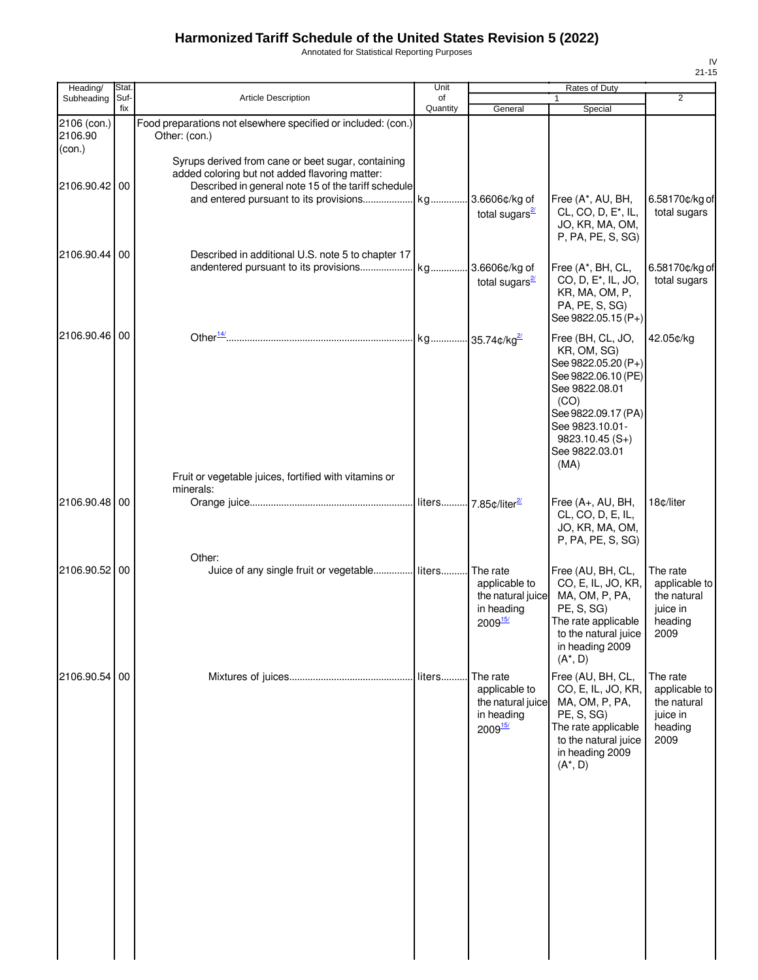Annotated for Statistical Reporting Purposes

| Heading/                         | Stat.       |                                                                                                                                                             | Unit           |                                                                               | Rates of Duty                                                                                                                                                                                    |                                                                         |
|----------------------------------|-------------|-------------------------------------------------------------------------------------------------------------------------------------------------------------|----------------|-------------------------------------------------------------------------------|--------------------------------------------------------------------------------------------------------------------------------------------------------------------------------------------------|-------------------------------------------------------------------------|
| Subheading                       | Suf-<br>fix | <b>Article Description</b>                                                                                                                                  | of<br>Quantity | General                                                                       | $\mathbf{1}$<br>Special                                                                                                                                                                          | $\overline{2}$                                                          |
| 2106 (con.)<br>2106.90<br>(con.) |             | Food preparations not elsewhere specified or included: (con.)<br>Other: (con.)                                                                              |                |                                                                               |                                                                                                                                                                                                  |                                                                         |
| 2106.90.42                       | 00          | Syrups derived from cane or beet sugar, containing<br>added coloring but not added flavoring matter:<br>Described in general note 15 of the tariff schedule |                | 3.6606¢/kg of<br>total sugars $\frac{2}{3}$                                   | Free (A*, AU, BH,<br>CL, CO, D, E <sup>*</sup> , IL,<br>JO, KR, MA, OM,<br>P, PA, PE, S, SG)                                                                                                     | 6.58170¢/kg of<br>total sugars                                          |
| 2106.90.44                       | 00          | Described in additional U.S. note 5 to chapter 17                                                                                                           |                | 3.6606¢/kg of<br>total sugars $\frac{2}{3}$                                   | Free (A*, BH, CL,<br>CO, D, E <sup>*</sup> , IL, JO,<br>KR, MA, OM, P,<br>PA, PE, S, SG)<br>See 9822.05.15 (P+)                                                                                  | 6.58170¢/kg of<br>total sugars                                          |
| 2106.90.46                       | 00          |                                                                                                                                                             |                |                                                                               | Free (BH, CL, JO,<br>KR, OM, SG)<br>See 9822.05.20 (P+)<br>See 9822.06.10 (PE)<br>See 9822.08.01<br>(CO)<br>See 9822.09.17 (PA)<br>See 9823.10.01-<br>$9823.10.45(S+)$<br>See 9822.03.01<br>(MA) | 42.05¢/kg                                                               |
| 2106.90.48                       | 00          | Fruit or vegetable juices, fortified with vitamins or<br>minerals:                                                                                          |                |                                                                               | Free (A+, AU, BH,<br>CL, CO, D, E, IL,<br>JO, KR, MA, OM,<br>P, PA, PE, S, SG)                                                                                                                   | 18¢/liter                                                               |
| 2106.90.52 00                    |             | Other:<br>Juice of any single fruit or vegetable liters                                                                                                     |                | The rate<br>applicable to<br>the natural juice<br>in heading<br>$2009^{15/2}$ | Free (AU, BH, CL,<br>CO, E, IL, JO, KR,<br>MA, OM, P, PA,<br>PE, S, SG)<br>The rate applicable<br>to the natural juice<br>in heading 2009<br>$(A^*, D)$                                          | The rate<br>applicable to<br>the natural<br>juice in<br>heading<br>2009 |
| 2106.90.54 00                    |             |                                                                                                                                                             | liters         | The rate<br>applicable to<br>the natural juice<br>in heading<br>200915/       | Free (AU, BH, CL,<br>CO, E, IL, JO, KR,<br>MA, OM, P, PA,<br>PE, S, SG)<br>The rate applicable<br>to the natural juice<br>in heading 2009<br>$(A^*, D)$                                          | The rate<br>applicable to<br>the natural<br>juice in<br>heading<br>2009 |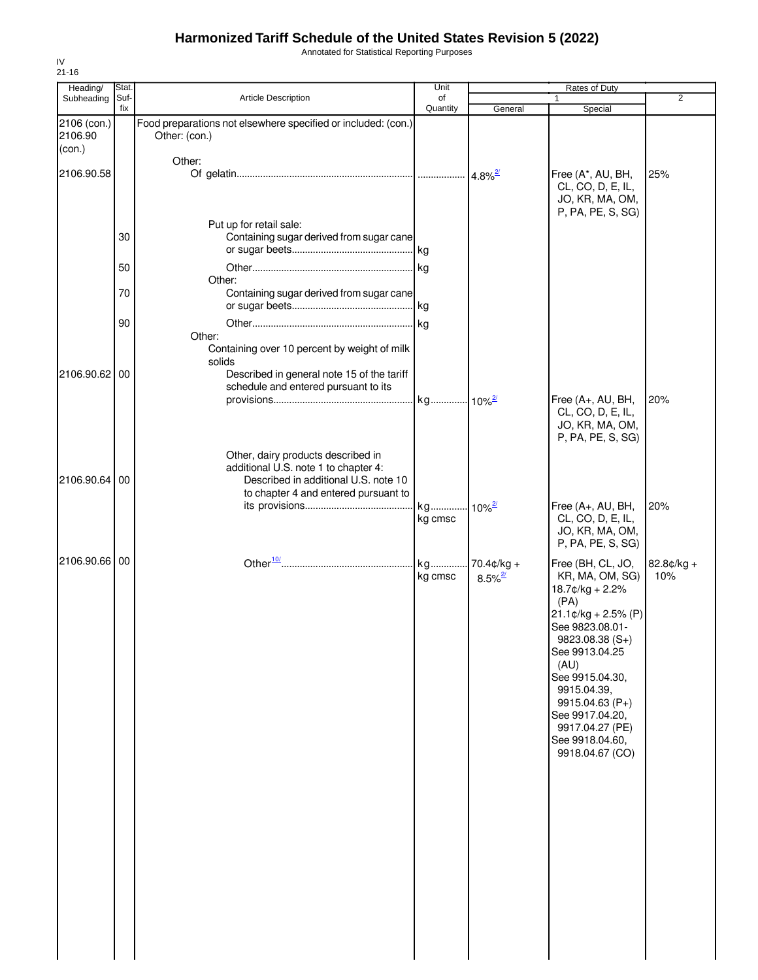Annotated for Statistical Reporting Purposes

| $21 - 16$                        |             |                                                                                                                      |                |                                        |                                                                                                                                                                                                                                                                                              |                   |
|----------------------------------|-------------|----------------------------------------------------------------------------------------------------------------------|----------------|----------------------------------------|----------------------------------------------------------------------------------------------------------------------------------------------------------------------------------------------------------------------------------------------------------------------------------------------|-------------------|
| Heading/                         | Stat.       |                                                                                                                      | Unit           |                                        | Rates of Duty                                                                                                                                                                                                                                                                                |                   |
| Subheading                       | Suf-<br>fix | <b>Article Description</b>                                                                                           | of<br>Quantity | General                                | Special                                                                                                                                                                                                                                                                                      | $\overline{2}$    |
| 2106 (con.)<br>2106.90<br>(con.) |             | Food preparations not elsewhere specified or included: (con.)<br>Other: (con.)                                       |                |                                        |                                                                                                                                                                                                                                                                                              |                   |
| 2106.90.58                       |             | Other:                                                                                                               |                | $4.8\%$ <sup>2/</sup>                  | Free (A*, AU, BH,<br>CL, CO, D, E, IL,<br>JO, KR, MA, OM,<br>P, PA, PE, S, SG)                                                                                                                                                                                                               | 25%               |
|                                  | 30          | Put up for retail sale:<br>Containing sugar derived from sugar cane                                                  |                |                                        |                                                                                                                                                                                                                                                                                              |                   |
|                                  | 50          | Other:                                                                                                               |                |                                        |                                                                                                                                                                                                                                                                                              |                   |
|                                  | 70          | Containing sugar derived from sugar cane                                                                             |                |                                        |                                                                                                                                                                                                                                                                                              |                   |
| 2106.90.62 00                    | 90          | Other:<br>Containing over 10 percent by weight of milk<br>solids<br>Described in general note 15 of the tariff       | kg             |                                        |                                                                                                                                                                                                                                                                                              |                   |
|                                  |             | schedule and entered pursuant to its                                                                                 |                |                                        | Free (A+, AU, BH,                                                                                                                                                                                                                                                                            | 20%               |
|                                  |             | Other, dairy products described in                                                                                   |                |                                        | CL, CO, D, E, IL,<br>JO, KR, MA, OM,<br>P, PA, PE, S, SG)                                                                                                                                                                                                                                    |                   |
| 2106.90.64 00                    |             | additional U.S. note 1 to chapter 4:<br>Described in additional U.S. note 10<br>to chapter 4 and entered pursuant to |                |                                        | Free (A+, AU, BH,                                                                                                                                                                                                                                                                            | 20%               |
|                                  |             |                                                                                                                      | kg<br>kg cmsc  | $10\%$ <sup>2/</sup>                   | CL, CO, D, E, IL,<br>JO, KR, MA, OM,<br>P, PA, PE, S, SG)                                                                                                                                                                                                                                    |                   |
| 2106.90.66 00                    |             |                                                                                                                      | kg<br>kg cmsc  | $70.4$ ¢/kg +<br>$8.5\%$ <sup>2/</sup> | Free (BH, CL, JO,<br>KR, MA, OM, SG)<br>18.7¢/kg + 2.2%<br>(PA)<br>$21.1$ ¢/kg + 2.5% (P)<br>See 9823.08.01-<br>$9823.08.38(S+)$<br>See 9913.04.25<br>(AU)<br>See 9915.04.30,<br>9915.04.39,<br>$9915.04.63(P+)$<br>See 9917.04.20,<br>9917.04.27 (PE)<br>See 9918.04.60,<br>9918.04.67 (CO) | 82.8¢/kg +<br>10% |

IV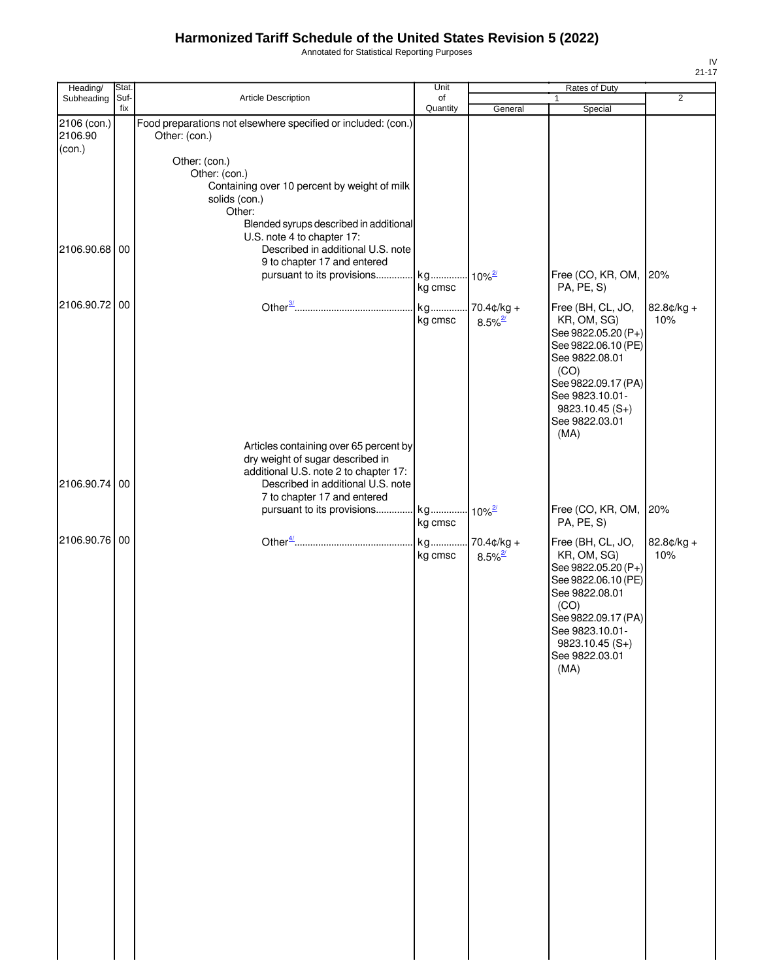Annotated for Statistical Reporting Purposes

| Heading/               | Stat.       |                                                                                                                                                                                         | Unit           |                                               | Rates of Duty                                                                                                                                                                                    |                   |
|------------------------|-------------|-----------------------------------------------------------------------------------------------------------------------------------------------------------------------------------------|----------------|-----------------------------------------------|--------------------------------------------------------------------------------------------------------------------------------------------------------------------------------------------------|-------------------|
| Subheading             | Suf-<br>fix | Article Description                                                                                                                                                                     | of<br>Quantity | General                                       | Special                                                                                                                                                                                          | $\overline{2}$    |
| 2106 (con.)<br>2106.90 |             | Food preparations not elsewhere specified or included: (con.)<br>Other: (con.)                                                                                                          |                |                                               |                                                                                                                                                                                                  |                   |
| (con.)                 |             | Other: (con.)<br>Other: (con.)<br>Containing over 10 percent by weight of milk<br>solids (con.)<br>Other:<br>Blended syrups described in additional<br>U.S. note 4 to chapter 17:       |                |                                               |                                                                                                                                                                                                  |                   |
| 2106.90.68 00          |             | Described in additional U.S. note<br>9 to chapter 17 and entered<br>pursuant to its provisions                                                                                          | kg<br>kg cmsc  | $10\%^{\frac{2}{}{}}$                         | Free (CO, KR, OM,<br>PA, PE, S)                                                                                                                                                                  | 20%               |
| 2106.90.72 00          |             |                                                                                                                                                                                         | kg<br>kg cmsc  | $70.4 \text{c/kg} +$<br>$8.5\%$ <sup>2/</sup> | Free (BH, CL, JO,<br>KR, OM, SG)<br>See 9822.05.20 (P+)<br>See 9822.06.10 (PE)<br>See 9822.08.01<br>(CO)<br>See 9822.09.17 (PA)<br>See 9823.10.01-<br>$9823.10.45(S+)$<br>See 9822.03.01<br>(MA) | 82.8¢/kg +<br>10% |
| 2106.90.74 00          |             | Articles containing over 65 percent by<br>dry weight of sugar described in<br>additional U.S. note 2 to chapter 17:<br>Described in additional U.S. note<br>7 to chapter 17 and entered |                |                                               |                                                                                                                                                                                                  |                   |
|                        |             | pursuant to its provisions                                                                                                                                                              | kg<br>kg cmsc  | $10\%$ <sup>2/</sup>                          | Free (CO, KR, OM,<br>PA, PE, S)                                                                                                                                                                  | 20%               |
| 2106.90.76 00          |             |                                                                                                                                                                                         | kg<br>kg cmsc  | 70.4¢/kg +<br>$8.5\%$ <sup>2/</sup>           | Free (BH, CL, JO,<br>KR, OM, SG)<br>See 9822.05.20 (P+)<br>See 9822.06.10 (PE)<br>See 9822.08.01<br>(CO)<br>See 9822.09.17 (PA)<br>See 9823.10.01-<br>$9823.10.45(S+)$<br>See 9822.03.01<br>(MA) | 82.8¢/kg +<br>10% |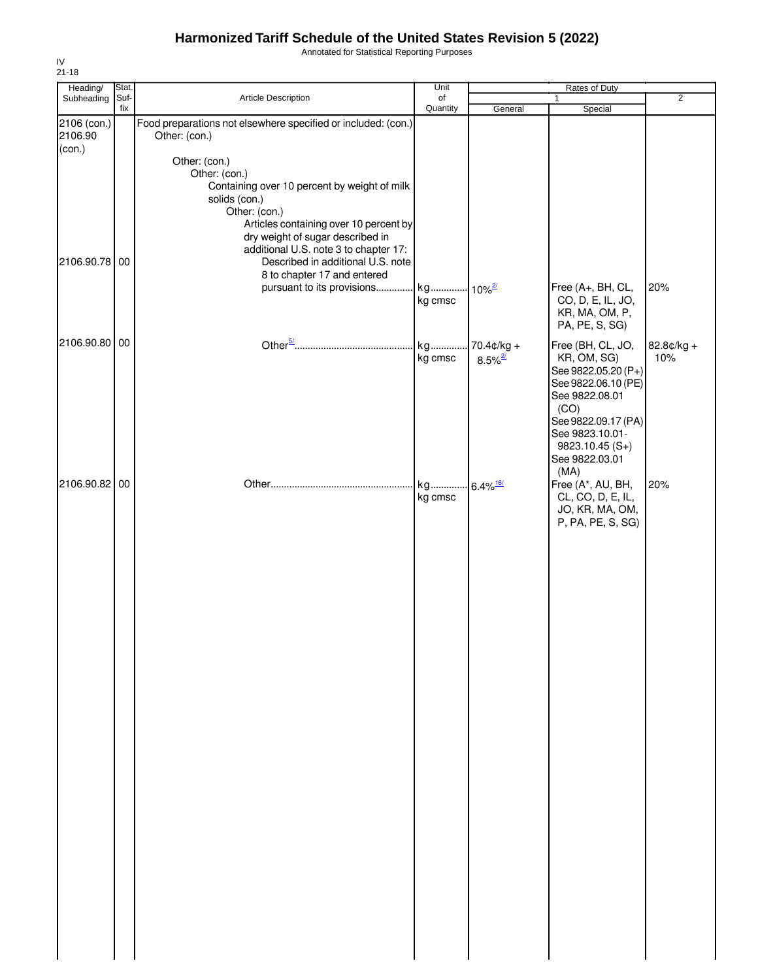Annotated for Statistical Reporting Purposes

| Heading/                         | Stat.       |                                                                                                                                                                                                                                         | Unit                              | Rates of Duty                          |                                                                                                                                                                                                  |                   |
|----------------------------------|-------------|-----------------------------------------------------------------------------------------------------------------------------------------------------------------------------------------------------------------------------------------|-----------------------------------|----------------------------------------|--------------------------------------------------------------------------------------------------------------------------------------------------------------------------------------------------|-------------------|
| Subheading                       | Suf-<br>fix | Article Description                                                                                                                                                                                                                     | of<br>Quantity                    | General                                | $\mathbf{1}$<br>Special                                                                                                                                                                          | $\overline{2}$    |
| 2106 (con.)<br>2106.90<br>(con.) |             | Food preparations not elsewhere specified or included: (con.)<br>Other: (con.)                                                                                                                                                          |                                   |                                        |                                                                                                                                                                                                  |                   |
|                                  |             | Other: (con.)<br>Other: (con.)<br>Containing over 10 percent by weight of milk<br>solids (con.)<br>Other: (con.)<br>Articles containing over 10 percent by<br>dry weight of sugar described in<br>additional U.S. note 3 to chapter 17: |                                   |                                        |                                                                                                                                                                                                  |                   |
| 2106.90.78 00                    |             | Described in additional U.S. note<br>8 to chapter 17 and entered<br>pursuant to its provisions kg 10% <sup>2/</sup>                                                                                                                     | kg cmsc                           |                                        | Free (A+, BH, CL,<br>CO, D, E, IL, JO,<br>KR, MA, OM, P,<br>PA, PE, S, SG)                                                                                                                       | 20%               |
| 2106.90.80 00                    |             |                                                                                                                                                                                                                                         | kg<br>kg cmsc                     | $70.4$ ¢/kg +<br>$8.5\%$ <sup>2/</sup> | Free (BH, CL, JO,<br>KR, OM, SG)<br>See 9822.05.20 (P+)<br>See 9822.06.10 (PE)<br>See 9822.08.01<br>(CO)<br>See 9822.09.17 (PA)<br>See 9823.10.01-<br>$9823.10.45(S+)$<br>See 9822.03.01<br>(MA) | 82.8¢/kg +<br>10% |
| 2106.90.82 00                    |             |                                                                                                                                                                                                                                         | kg 6.4% <sup>16/</sup><br>kg cmsc |                                        | Free (A*, AU, BH,<br>CL, CO, D, E, IL,<br>JO, KR, MA, OM,<br>P, PA, PE, S, SG)                                                                                                                   | 20%               |
|                                  |             |                                                                                                                                                                                                                                         |                                   |                                        |                                                                                                                                                                                                  |                   |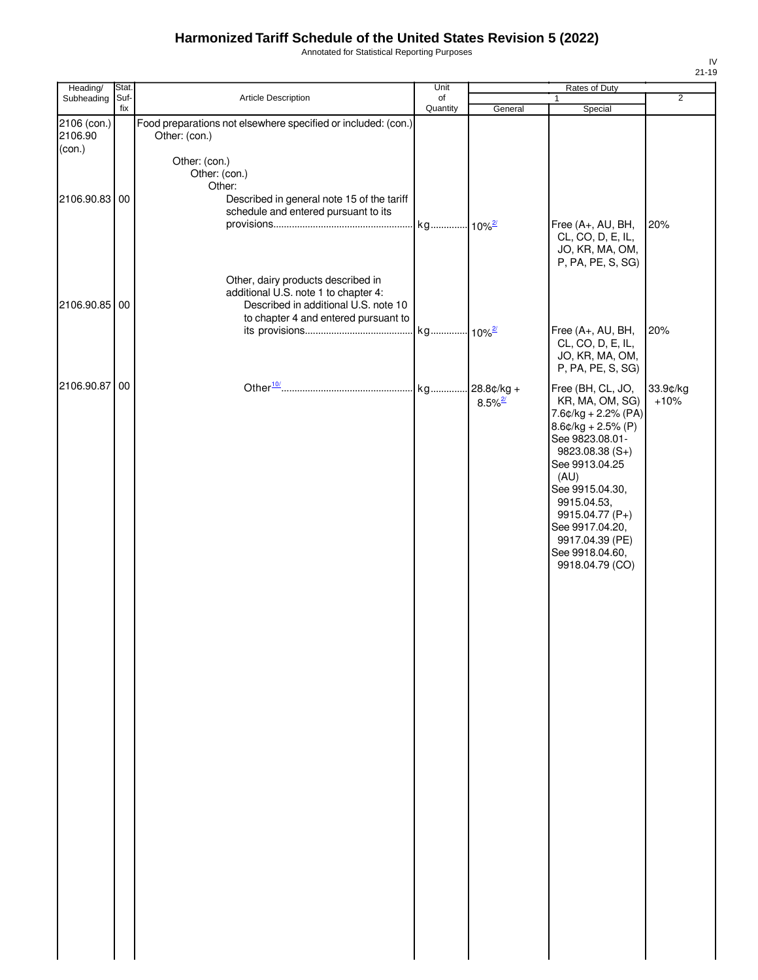Annotated for Statistical Reporting Purposes

| Heading/               | Stat.       |                                                                                                                                                            | Unit     |                                        | Rates of Duty                                                                                                                                                                                                                                                                            |                    |
|------------------------|-------------|------------------------------------------------------------------------------------------------------------------------------------------------------------|----------|----------------------------------------|------------------------------------------------------------------------------------------------------------------------------------------------------------------------------------------------------------------------------------------------------------------------------------------|--------------------|
| Subheading             | Suf-<br>fix | Article Description                                                                                                                                        | of       |                                        | 1                                                                                                                                                                                                                                                                                        | $\overline{2}$     |
| 2106 (con.)<br>2106.90 |             | Food preparations not elsewhere specified or included: (con.)<br>Other: (con.)                                                                             | Quantity | General                                | Special                                                                                                                                                                                                                                                                                  |                    |
| (con.)                 |             | Other: (con.)<br>Other: (con.)<br>Other:                                                                                                                   |          |                                        |                                                                                                                                                                                                                                                                                          |                    |
| 2106.90.83             | 00          | Described in general note 15 of the tariff<br>schedule and entered pursuant to its                                                                         |          |                                        | Free (A+, AU, BH,<br>CL, CO, D, E, IL,<br>JO, KR, MA, OM,<br>P, PA, PE, S, SG)                                                                                                                                                                                                           | 20%                |
| 2106.90.85 00          |             | Other, dairy products described in<br>additional U.S. note 1 to chapter 4:<br>Described in additional U.S. note 10<br>to chapter 4 and entered pursuant to |          |                                        | Free (A+, AU, BH,                                                                                                                                                                                                                                                                        | 20%                |
|                        |             |                                                                                                                                                            |          |                                        | CL, CO, D, E, IL,<br>JO, KR, MA, OM,<br>P, PA, PE, S, SG)                                                                                                                                                                                                                                |                    |
| 2106.90.87             | 00          |                                                                                                                                                            | . kg     | $.28.8c/kg +$<br>$8.5\%$ <sup>2/</sup> | Free (BH, CL, JO,<br>KR, MA, OM, SG)<br>$7.6$ ¢/kg + 2.2% (PA)<br>$8.6$ ¢/kg + 2.5% (P)<br>See 9823.08.01-<br>9823.08.38 (S+)<br>See 9913.04.25<br>(AU)<br>See 9915.04.30,<br>9915.04.53,<br>9915.04.77 (P+)<br>See 9917.04.20,<br>9917.04.39 (PE)<br>See 9918.04.60,<br>9918.04.79 (CO) | 33.9¢/kg<br>$+10%$ |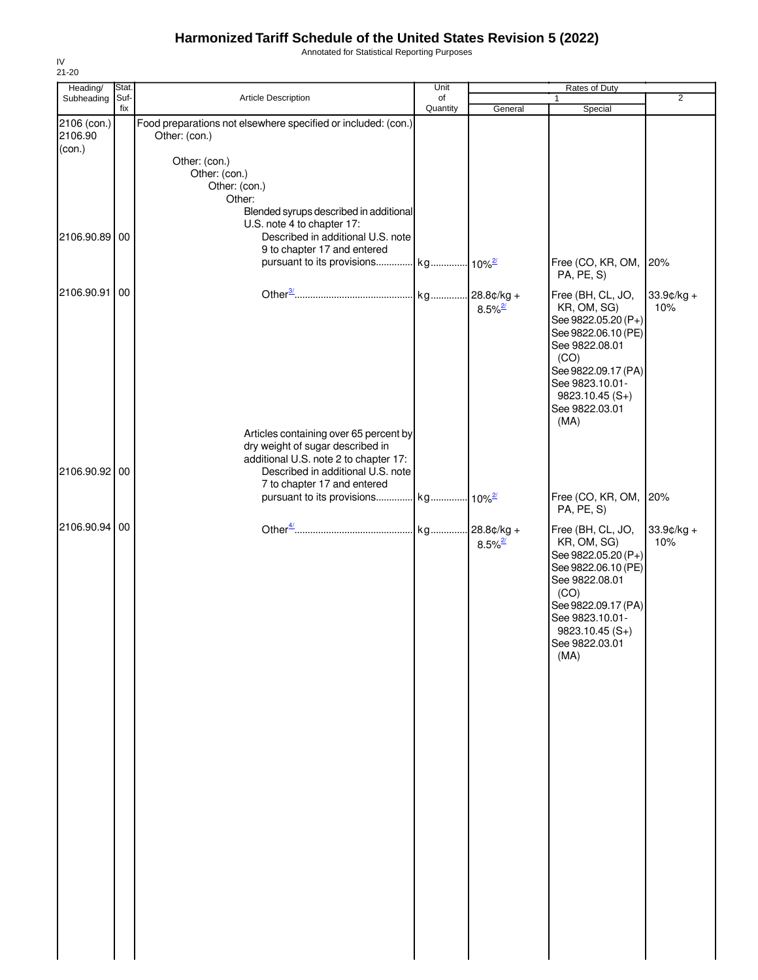Annotated for Statistical Reporting Purposes

| Heading/               | Stat.       |                                                                                | Unit           | Rates of Duty         |                                            |                      |
|------------------------|-------------|--------------------------------------------------------------------------------|----------------|-----------------------|--------------------------------------------|----------------------|
| Subheading             | Suf-<br>fix | Article Description                                                            | of<br>Quantity | General               | $\mathbf{1}$<br>Special                    | $\overline{2}$       |
| 2106 (con.)<br>2106.90 |             | Food preparations not elsewhere specified or included: (con.)<br>Other: (con.) |                |                       |                                            |                      |
| (con.)                 |             | Other: (con.)                                                                  |                |                       |                                            |                      |
|                        |             | Other: (con.)                                                                  |                |                       |                                            |                      |
|                        |             | Other: (con.)<br>Other:                                                        |                |                       |                                            |                      |
|                        |             | Blended syrups described in additional<br>U.S. note 4 to chapter 17:           |                |                       |                                            |                      |
| 2106.90.89 00          |             | Described in additional U.S. note                                              |                |                       |                                            |                      |
|                        |             | 9 to chapter 17 and entered<br>pursuant to its provisions kg 10% <sup>2/</sup> |                |                       | Free (CO, KR, OM,                          | 20%                  |
| 2106.90.91             | 00          |                                                                                |                |                       | PA, PE, S)                                 |                      |
|                        |             |                                                                                |                | $8.5\%$ <sup>2/</sup> | Free (BH, CL, JO,<br>KR, OM, SG)           | $33.9$ ¢/kg +<br>10% |
|                        |             |                                                                                |                |                       | See 9822.05.20 (P+)                        |                      |
|                        |             |                                                                                |                |                       | See 9822.06.10 (PE)<br>See 9822.08.01      |                      |
|                        |             |                                                                                |                |                       | (CO)<br>See 9822.09.17 (PA)                |                      |
|                        |             |                                                                                |                |                       | See 9823.10.01-                            |                      |
|                        |             |                                                                                |                |                       | $9823.10.45(S+)$<br>See 9822.03.01         |                      |
|                        |             |                                                                                |                |                       | (MA)                                       |                      |
|                        |             | Articles containing over 65 percent by<br>dry weight of sugar described in     |                |                       |                                            |                      |
|                        |             | additional U.S. note 2 to chapter 17:                                          |                |                       |                                            |                      |
| 2106.90.92 00          |             | Described in additional U.S. note<br>7 to chapter 17 and entered               |                |                       |                                            |                      |
|                        |             | pursuant to its provisions kg 10% <sup>2/</sup>                                |                |                       | Free (CO, KR, OM,<br>PA, PE, S)            | 20%                  |
| 2106.90.94 00          |             |                                                                                |                |                       | Free (BH, CL, JO,                          | 33.9¢/kg +           |
|                        |             |                                                                                |                | $8.5\%$ <sup>2/</sup> | KR, OM, SG)                                | 10%                  |
|                        |             |                                                                                |                |                       | See 9822.05.20 (P+)<br>See 9822.06.10 (PE) |                      |
|                        |             |                                                                                |                |                       | See 9822.08.01                             |                      |
|                        |             |                                                                                |                |                       | (CO)<br>See 9822.09.17 (PA)                |                      |
|                        |             |                                                                                |                |                       | See 9823.10.01-                            |                      |
|                        |             |                                                                                |                |                       | $9823.10.45(S+)$<br>See 9822.03.01         |                      |
|                        |             |                                                                                |                |                       | (MA)                                       |                      |
|                        |             |                                                                                |                |                       |                                            |                      |
|                        |             |                                                                                |                |                       |                                            |                      |
|                        |             |                                                                                |                |                       |                                            |                      |
|                        |             |                                                                                |                |                       |                                            |                      |
|                        |             |                                                                                |                |                       |                                            |                      |
|                        |             |                                                                                |                |                       |                                            |                      |
|                        |             |                                                                                |                |                       |                                            |                      |
|                        |             |                                                                                |                |                       |                                            |                      |
|                        |             |                                                                                |                |                       |                                            |                      |
|                        |             |                                                                                |                |                       |                                            |                      |
|                        |             |                                                                                |                |                       |                                            |                      |
|                        |             |                                                                                |                |                       |                                            |                      |
|                        |             |                                                                                |                |                       |                                            |                      |
|                        |             |                                                                                |                |                       |                                            |                      |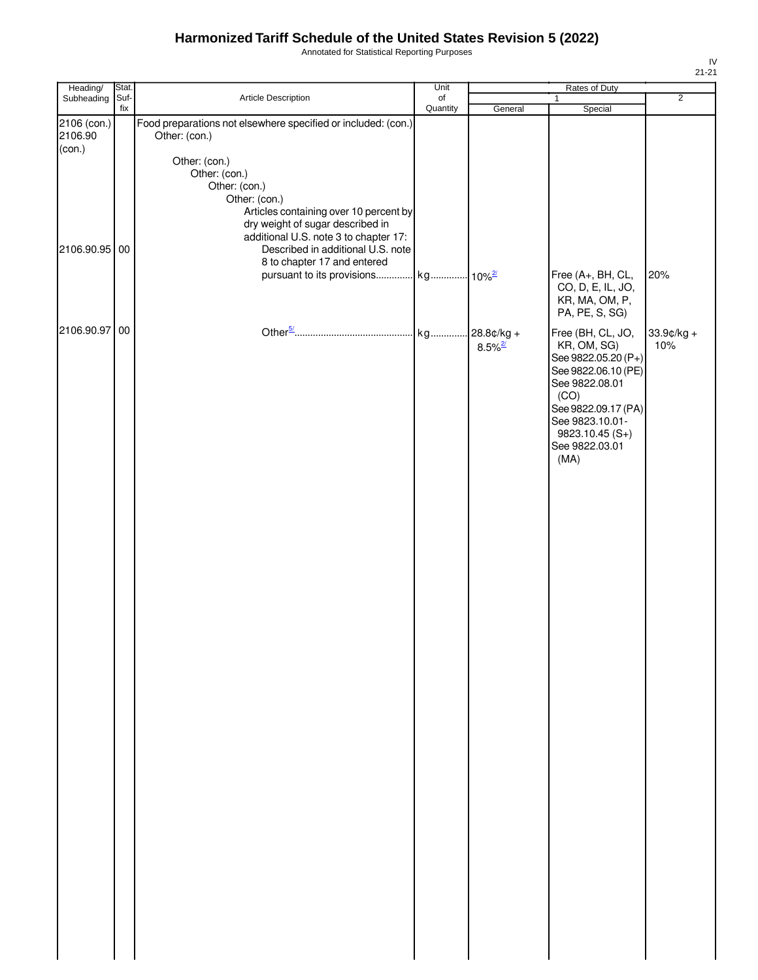Annotated for Statistical Reporting Purposes

| Heading/      | Stat. |                                                               | Unit     |                       | Rates of Duty       |                |
|---------------|-------|---------------------------------------------------------------|----------|-----------------------|---------------------|----------------|
| Subheading    | Suf-  | Article Description                                           | of       |                       | 1                   | $\overline{2}$ |
|               | fix   |                                                               | Quantity | General               | Special             |                |
| 2106 (con.)   |       | Food preparations not elsewhere specified or included: (con.) |          |                       |                     |                |
| 2106.90       |       | Other: (con.)                                                 |          |                       |                     |                |
| (con.)        |       |                                                               |          |                       |                     |                |
|               |       |                                                               |          |                       |                     |                |
|               |       | Other: (con.)                                                 |          |                       |                     |                |
|               |       | Other: (con.)                                                 |          |                       |                     |                |
|               |       | Other: (con.)                                                 |          |                       |                     |                |
|               |       | Other: (con.)                                                 |          |                       |                     |                |
|               |       | Articles containing over 10 percent by                        |          |                       |                     |                |
|               |       | dry weight of sugar described in                              |          |                       |                     |                |
|               |       | additional U.S. note 3 to chapter 17:                         |          |                       |                     |                |
| 2106.90.95 00 |       | Described in additional U.S. note                             |          |                       |                     |                |
|               |       | 8 to chapter 17 and entered                                   |          |                       |                     |                |
|               |       | pursuant to its provisions kg 10% <sup>2/</sup>               |          |                       | Free (A+, BH, CL,   | 20%            |
|               |       |                                                               |          |                       | CO, D, E, IL, JO,   |                |
|               |       |                                                               |          |                       |                     |                |
|               |       |                                                               |          |                       | KR, MA, OM, P,      |                |
|               |       |                                                               |          |                       | PA, PE, S, SG)      |                |
| 2106.90.97 00 |       |                                                               |          |                       | Free (BH, CL, JO,   | 33.9¢/kg +     |
|               |       |                                                               |          |                       | KR, OM, SG)         | 10%            |
|               |       |                                                               |          | $8.5\%$ <sup>2/</sup> | See 9822.05.20 (P+) |                |
|               |       |                                                               |          |                       |                     |                |
|               |       |                                                               |          |                       | See 9822.06.10 (PE) |                |
|               |       |                                                               |          |                       | See 9822.08.01      |                |
|               |       |                                                               |          |                       | (CO)                |                |
|               |       |                                                               |          |                       | See 9822.09.17 (PA) |                |
|               |       |                                                               |          |                       | See 9823.10.01-     |                |
|               |       |                                                               |          |                       | $9823.10.45(S+)$    |                |
|               |       |                                                               |          |                       | See 9822.03.01      |                |
|               |       |                                                               |          |                       | (MA)                |                |
|               |       |                                                               |          |                       |                     |                |
|               |       |                                                               |          |                       |                     |                |
|               |       |                                                               |          |                       |                     |                |
|               |       |                                                               |          |                       |                     |                |
|               |       |                                                               |          |                       |                     |                |
|               |       |                                                               |          |                       |                     |                |
|               |       |                                                               |          |                       |                     |                |
|               |       |                                                               |          |                       |                     |                |
|               |       |                                                               |          |                       |                     |                |
|               |       |                                                               |          |                       |                     |                |
|               |       |                                                               |          |                       |                     |                |
|               |       |                                                               |          |                       |                     |                |
|               |       |                                                               |          |                       |                     |                |
|               |       |                                                               |          |                       |                     |                |
|               |       |                                                               |          |                       |                     |                |
|               |       |                                                               |          |                       |                     |                |
|               |       |                                                               |          |                       |                     |                |
|               |       |                                                               |          |                       |                     |                |
|               |       |                                                               |          |                       |                     |                |
|               |       |                                                               |          |                       |                     |                |
|               |       |                                                               |          |                       |                     |                |
|               |       |                                                               |          |                       |                     |                |
|               |       |                                                               |          |                       |                     |                |
|               |       |                                                               |          |                       |                     |                |
|               |       |                                                               |          |                       |                     |                |
|               |       |                                                               |          |                       |                     |                |
|               |       |                                                               |          |                       |                     |                |
|               |       |                                                               |          |                       |                     |                |
|               |       |                                                               |          |                       |                     |                |
|               |       |                                                               |          |                       |                     |                |
|               |       |                                                               |          |                       |                     |                |
|               |       |                                                               |          |                       |                     |                |
|               |       |                                                               |          |                       |                     |                |
|               |       |                                                               |          |                       |                     |                |
|               |       |                                                               |          |                       |                     |                |
|               |       |                                                               |          |                       |                     |                |
|               |       |                                                               |          |                       |                     |                |
|               |       |                                                               |          |                       |                     |                |
|               |       |                                                               |          |                       |                     |                |
|               |       |                                                               |          |                       |                     |                |
|               |       |                                                               |          |                       |                     |                |
|               |       |                                                               |          |                       |                     |                |
|               |       |                                                               |          |                       |                     |                |
|               |       |                                                               |          |                       |                     |                |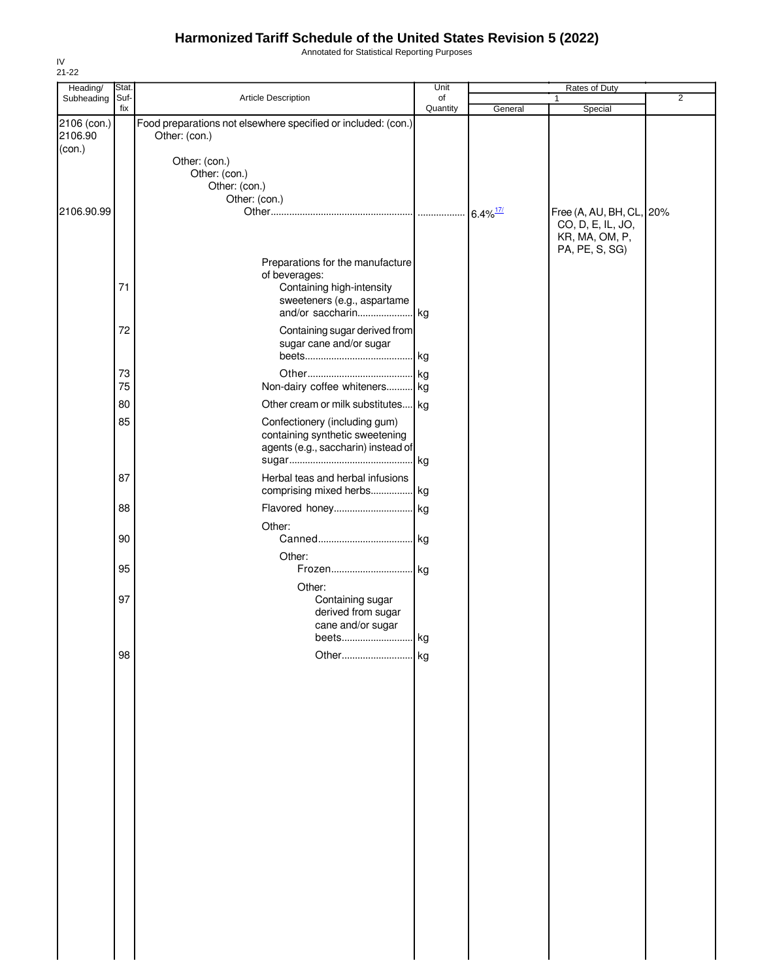Annotated for Statistical Reporting Purposes

| Heading/    | Stat. |                                                               | Unit     |                        | Rates of Duty            |                |
|-------------|-------|---------------------------------------------------------------|----------|------------------------|--------------------------|----------------|
| Subheading  | Suf-  | Article Description                                           | of       |                        | $\mathbf{1}$             | $\overline{2}$ |
| 2106 (con.) | fix   | Food preparations not elsewhere specified or included: (con.) | Quantity | General                | Special                  |                |
| 2106.90     |       | Other: (con.)                                                 |          |                        |                          |                |
| (con.)      |       |                                                               |          |                        |                          |                |
|             |       | Other: (con.)                                                 |          |                        |                          |                |
|             |       | Other: (con.)<br>Other: (con.)                                |          |                        |                          |                |
|             |       | Other: (con.)                                                 |          |                        |                          |                |
| 2106.90.99  |       |                                                               |          | $6.4\%$ <sup>17/</sup> | Free (A, AU, BH, CL, 20% |                |
|             |       |                                                               |          |                        | CO, D, E, IL, JO,        |                |
|             |       |                                                               |          |                        | KR, MA, OM, P,           |                |
|             |       |                                                               |          |                        | PA, PE, S, SG)           |                |
|             |       | Preparations for the manufacture                              |          |                        |                          |                |
|             |       | of beverages:                                                 |          |                        |                          |                |
|             | 71    | Containing high-intensity                                     |          |                        |                          |                |
|             |       | sweeteners (e.g., aspartame                                   |          |                        |                          |                |
|             |       |                                                               |          |                        |                          |                |
|             | 72    | Containing sugar derived from                                 |          |                        |                          |                |
|             |       | sugar cane and/or sugar                                       |          |                        |                          |                |
|             |       |                                                               |          |                        |                          |                |
|             |       |                                                               |          |                        |                          |                |
|             | 73    |                                                               |          |                        |                          |                |
|             | 75    | Non-dairy coffee whiteners kg                                 |          |                        |                          |                |
|             | 80    | Other cream or milk substitutes kg                            |          |                        |                          |                |
|             | 85    | Confectionery (including gum)                                 |          |                        |                          |                |
|             |       | containing synthetic sweetening                               |          |                        |                          |                |
|             |       | agents (e.g., saccharin) instead of                           |          |                        |                          |                |
|             |       |                                                               |          |                        |                          |                |
|             | 87    | Herbal teas and herbal infusions                              |          |                        |                          |                |
|             |       | comprising mixed herbs kg                                     |          |                        |                          |                |
|             |       |                                                               |          |                        |                          |                |
|             | 88    | Flavored honey kg                                             |          |                        |                          |                |
|             |       | Other:                                                        |          |                        |                          |                |
|             | 90    |                                                               |          |                        |                          |                |
|             |       | Other:                                                        |          |                        |                          |                |
|             | 95    | Frozen kg                                                     |          |                        |                          |                |
|             |       | Other:                                                        |          |                        |                          |                |
|             | 97    | Containing sugar                                              |          |                        |                          |                |
|             |       | derived from sugar                                            |          |                        |                          |                |
|             |       | cane and/or sugar                                             |          |                        |                          |                |
|             |       | Deets                                                         | кg       |                        |                          |                |
|             | 98    | Other                                                         | . kg     |                        |                          |                |
|             |       |                                                               |          |                        |                          |                |
|             |       |                                                               |          |                        |                          |                |
|             |       |                                                               |          |                        |                          |                |
|             |       |                                                               |          |                        |                          |                |
|             |       |                                                               |          |                        |                          |                |
|             |       |                                                               |          |                        |                          |                |
|             |       |                                                               |          |                        |                          |                |
|             |       |                                                               |          |                        |                          |                |
|             |       |                                                               |          |                        |                          |                |
|             |       |                                                               |          |                        |                          |                |
|             |       |                                                               |          |                        |                          |                |
|             |       |                                                               |          |                        |                          |                |
|             |       |                                                               |          |                        |                          |                |
|             |       |                                                               |          |                        |                          |                |
|             |       |                                                               |          |                        |                          |                |
|             |       |                                                               |          |                        |                          |                |
|             |       |                                                               |          |                        |                          |                |
|             |       |                                                               |          |                        |                          |                |
|             |       |                                                               |          |                        |                          |                |
|             |       |                                                               |          |                        |                          |                |
|             |       |                                                               |          |                        |                          |                |
|             |       |                                                               |          |                        |                          |                |
|             |       |                                                               |          |                        |                          |                |